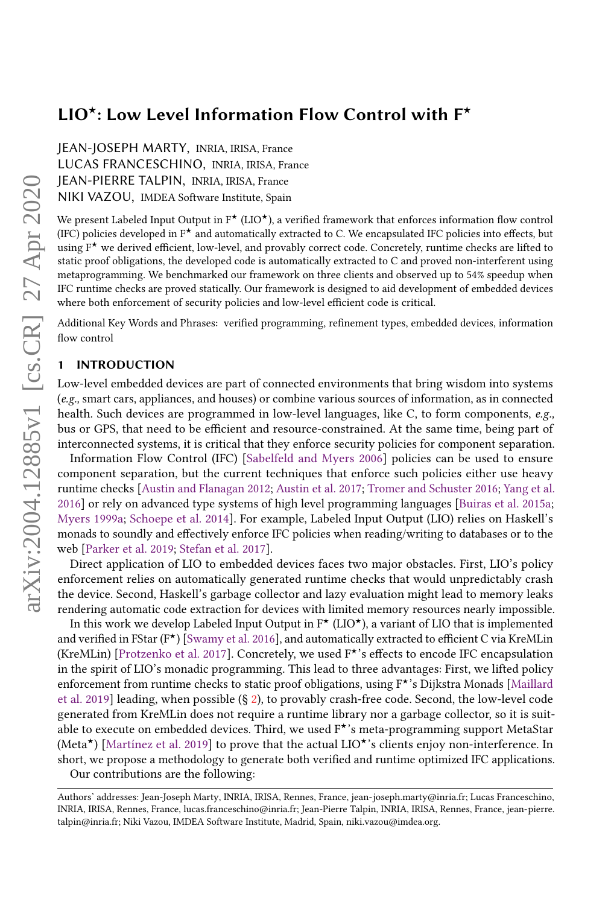JEAN-JOSEPH MARTY, INRIA, IRISA, France LUCAS FRANCESCHINO, INRIA, IRISA, France JEAN-PIERRE TALPIN, INRIA, IRISA, France NIKI VAZOU, IMDEA Software Institute, Spain

We present Labeled Input Output in  $F^{\star}$  (LIO<sup> $\star$ </sup>), a verified framework that enforces information flow control (IFC) policies developed in  $F^{\star}$  and automatically extracted to C. We encapsulated IFC policies into effects, but using  $F^{\star}$  we derived efficient, low-level, and provably correct code. Concretely, runtime checks are lifted to static proof obligations, the developed code is automatically extracted to C and proved non-interferent using metaprogramming. We benchmarked our framework on three clients and observed up to 54% speedup when IFC runtime checks are proved statically. Our framework is designed to aid development of embedded devices where both enforcement of security policies and low-level efficient code is critical.

Additional Key Words and Phrases: verified programming, refinement types, embedded devices, information flow control

#### **INTRODUCTION**

Low-level embedded devices are part of connected environments that bring wisdom into systems (e.g., smart cars, appliances, and houses) or combine various sources of information, as in connected health. Such devices are programmed in low-level languages, like C, to form components, e.g., bus or GPS, that need to be efficient and resource-constrained. At the same time, being part of interconnected systems, it is critical that they enforce security policies for component separation.

Information Flow Control (IFC) [\[Sabelfeld and Myers](#page-26-0) [2006\]](#page-26-0) policies can be used to ensure component separation, but the current techniques that enforce such policies either use heavy runtime checks [\[Austin and Flanagan](#page-25-0) [2012;](#page-25-0) [Austin et al.](#page-25-1) [2017;](#page-25-1) [Tromer and Schuster](#page-26-1) [2016;](#page-26-1) [Yang et al.](#page-26-2) [2016\]](#page-26-2) or rely on advanced type systems of high level programming languages [\[Buiras et al.](#page-25-2) [2015a;](#page-25-2) [Myers](#page-26-3) [1999a;](#page-26-3) [Schoepe et al.](#page-26-4) [2014\]](#page-26-4). For example, Labeled Input Output (LIO) relies on Haskell's monads to soundly and effectively enforce IFC policies when reading/writing to databases or to the web [\[Parker et al.](#page-26-5) [2019;](#page-26-5) [Stefan et al.](#page-26-6) [2017\]](#page-26-6).

Direct application of LIO to embedded devices faces two major obstacles. First, LIO's policy enforcement relies on automatically generated runtime checks that would unpredictably crash the device. Second, Haskell's garbage collector and lazy evaluation might lead to memory leaks rendering automatic code extraction for devices with limited memory resources nearly impossible.

In this work we develop Labeled Input Output in  $F^{\star}$  (LIO $^{\star}$ ), a variant of LIO that is implemented and verified in FStar ( $F^{\star}$ ) [\[Swamy et al.](#page-26-7) [2016\]](#page-26-7), and automatically extracted to efficient C via KreMLin (KreMLin) [\[Protzenko et al.](#page-26-8) [2017\]](#page-26-8). Concretely, we used  $F^*$ 's effects to encode IFC encapsulation in the spirit of LIO's monadic programming. This lead to three advantages: First, we lifted policy enforcement from runtime checks to static proof obligations, using F<sup>★</sup>'s Dijkstra Monads [\[Maillard](#page-26-9)] [et al.](#page-26-9) [2019\]](#page-26-9) leading, when possible (§ [2\)](#page-1-0), to provably crash-free code. Second, the low-level code generated from KreMLin does not require a runtime library nor a garbage collector, so it is suitable to execute on embedded devices. Third, we used  $F^{\star}$ 's meta-programming support MetaStar (Meta $\star$ ) [\[Martínez et al.](#page-26-10) [2019\]](#page-26-10) to prove that the actual LIO $\star$ 's clients enjoy non-interference. In short, we propose a methodology to generate both verified and runtime optimized IFC applications. Our contributions are the following:

Authors' addresses: Jean-Joseph Marty, INRIA, IRISA, Rennes, France, jean-joseph.marty@inria.fr; Lucas Franceschino, INRIA, IRISA, Rennes, France, lucas.franceschino@inria.fr; Jean-Pierre Talpin, INRIA, IRISA, Rennes, France, jean-pierre. talpin@inria.fr; Niki Vazou, IMDEA Software Institute, Madrid, Spain, niki.vazou@imdea.org.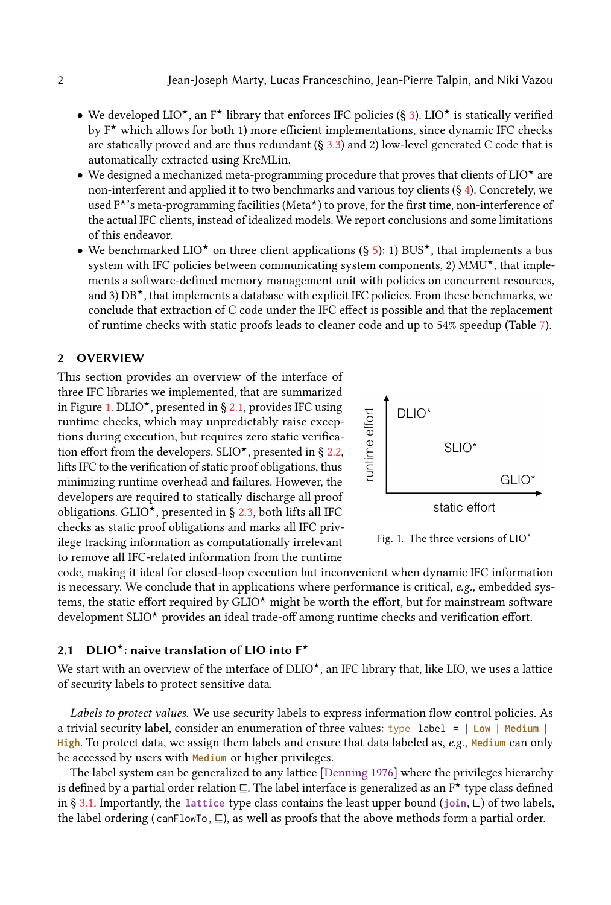- We developed LIO<sup> $\star$ </sup>, an F<sup> $\star$ </sup> library that enforces IFC policies (§ [3\)](#page-6-0). LIO $\star$  is statically verified by  $F^{\star}$  which allows for both 1) more efficient implementations, since dynamic IFC checks are statically proved and are thus redundant  $(\S 3.3)$  $(\S 3.3)$  and 2) low-level generated C code that is automatically extracted using KreMLin.
- We designed a mechanized meta-programming procedure that proves that clients of  $LIO<sup>×</sup>$  are non-interferent and applied it to two benchmarks and various toy clients  $(\S 4)$  $(\S 4)$ . Concretely, we used F<sup>★</sup>'s meta-programming facilities (Meta<sup>★</sup>) to prove, for the first time, non-interference of the actual IFC clients, instead of idealized models. We report conclusions and some limitations of this endeavor.
- We benchmarked LIO<sup>\*</sup> on three client applications (§ [5\)](#page-18-0): 1) BUS<sup>\*</sup>, that implements a bus system with IFC policies between communicating system components, 2)  $MMU^{\star}$ , that implements a software-defined memory management unit with policies on concurrent resources, and 3)  $DB^{\star}$ , that implements a database with explicit IFC policies. From these benchmarks, we conclude that extraction of C code under the IFC effect is possible and that the replacement of runtime checks with static proofs leads to cleaner code and up to 54% speedup (Table [7\)](#page-22-0).

## <span id="page-1-0"></span>2 OVERVIEW

This section provides an overview of the interface of three IFC libraries we implemented, that are summarized in Figure [1.](#page-1-1) DLIO<sup> $\star$ </sup>, presented in § [2.1,](#page-1-2) provides IFC using runtime checks, which may unpredictably raise exceptions during execution, but requires zero static verification effort from the developers. SLIO<sup> $\star$ </sup>, presented in § [2.2,](#page-3-0) lifts IFC to the verification of static proof obligations, thus minimizing runtime overhead and failures. However, the developers are required to statically discharge all proof obligations. GLIO<sup> $\star$ </sup>, presented in § [2.3,](#page-4-0) both lifts all IFC checks as static proof obligations and marks all IFC privilege tracking information as computationally irrelevant to remove all IFC-related information from the runtime

<span id="page-1-1"></span>

Fig. 1. The three versions of LIO\*

code, making it ideal for closed-loop execution but inconvenient when dynamic IFC information is necessary. We conclude that in applications where performance is critical, e.g., embedded systems, the static effort required by  $GLO^{\star}$  might be worth the effort, but for mainstream software development SLIO<sup>\*</sup> provides an ideal trade-off among runtime checks and verification effort.

## <span id="page-1-2"></span>2.1 DLIO<sup>\*</sup>: naive translation of LIO into  $F^*$

We start with an overview of the interface of DLIO $\star$ , an IFC library that, like LIO, we uses a lattice of security labels to protect sensitive data.

Labels to protect values. We use security labels to express information flow control policies. As a trivial security label, consider an enumeration of three values: type label = | **Low** | **Medium** | **High**. To protect data, we assign them labels and ensure that data labeled as, e.g., **Medium** can only be accessed by users with **Medium** or higher privileges.

The label system can be generalized to any lattice [\[Denning](#page-25-3) [1976\]](#page-25-3) where the privileges hierarchy is defined by a partial order relation ⊑. The label interface is generalized as an F<sup>★</sup> type class defined in § [3.1.](#page-6-1) Importantly, the **lattice** type class contains the least upper bound (**join**, ⊔) of two labels, the label ordering ( $canFlowTo, \sqsubseteq$ ), as well as proofs that the above methods form a partial order.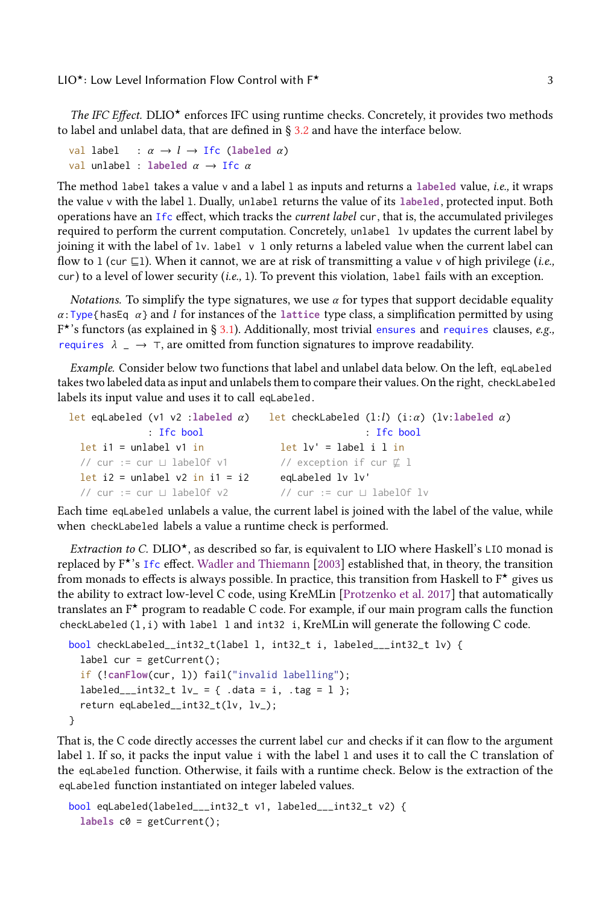The IFC Effect. DLIO<sup> $\star$ </sup> enforces IFC using runtime checks. Concretely, it provides two methods to label and unlabel data, that are defined in  $\S 3.2$  $\S 3.2$  and have the interface below.

```
val label : \alpha \rightarrow l \rightarrow Ifc (labeled \alpha)
val unlabel : labeled \alpha \rightarrow Ifc \alpha
```
The method label takes a value v and a label 1 as inputs and returns a labeled value, i.e., it wraps the value v with the label l. Dually, unlabel returns the value of its **labeled**, protected input. Both operations have an Ifc effect, which tracks the current label cur, that is, the accumulated privileges required to perform the current computation. Concretely, unlabel lv updates the current label by joining it with the label of  $1v$ . label  $v \in I$  only returns a labeled value when the current label can flow to 1 (cur  $\sqsubseteq$ 1). When it cannot, we are at risk of transmitting a value v of high privilege (*i.e.*, cur) to a level of lower security (i.e., l). To prevent this violation, label fails with an exception.

*Notations.* To simplify the type signatures, we use  $\alpha$  for types that support decidable equality  $\alpha$ : Type{hasEq  $\alpha$ } and *l* for instances of the lattice type class, a simplification permitted by using  $F^{\star}$ 's functors (as explained in § [3.1\)](#page-6-1). Additionally, most trivial ensures and requires clauses, e.g., requires  $\lambda = \rightarrow \tau$ , are omitted from function signatures to improve readability.

<span id="page-2-0"></span>Example. Consider below two functions that label and unlabel data below. On the left, eqLabeled takes two labeled data as input and unlabels them to compare their values. On the right, checkLabeled labels its input value and uses it to call eqLabeled .

```
let eqLabeled (v1 v2 :labeled α)
             : Ifc bool
 let i1 = unlabel v1 in
  // cur := cur ⊔ labelOf v1
  let i2 = unlabel v2 in i1 = i2
  // cur := cur ⊔ labelOf v2
                                  let checkLabeled (l:l) (i:α) (lv:labeled α)
                                                    : Ifc bool
                                     let lv' = label i l in
                                     // exception if cur ⊈ l
                                     eqLabeled lv lv'
                                     // cur := cur ⊔ labelOf lv
```
Each time eqLabeled unlabels a value, the current label is joined with the label of the value, while when checkLabeled labels a value a runtime check is performed.

*Extraction to C.* DLIO<sup>\*</sup>, as described so far, is equivalent to LIO where Haskell's LIO monad is replaced by  $F^*$ 's Ifc effect. [Wadler and Thiemann](#page-26-11) [\[2003\]](#page-26-11) established that, in theory, the transition from monads to effects is always possible. In practice, this transition from Haskell to  $F^{\star}$  gives us the ability to extract low-level C code, using KreMLin [\[Protzenko et al.](#page-26-8) [2017\]](#page-26-8) that automatically translates an  $F^*$  program to readable C code. For example, if our main program calls the function checkLabeled (l,i) with label l and int32 i, KreMLin will generate the following C code.

```
bool checkLabeled__int32_t(label l, int32_t i, labeled___int32_t lv) {
  label cur = getCurrent();
  if (!canFlow(cur, l)) fail("invalid labelling");
  labeled___int32_t lv = {.data = i, .tag = 1 };
  return eqLabeled__int32_t(lv, lv_);
}
```
That is, the C code directly accesses the current label cur and checks if it can flow to the argument label l. If so, it packs the input value i with the label l and uses it to call the C translation of the eqLabeled function. Otherwise, it fails with a runtime check. Below is the extraction of the eqLabeled function instantiated on integer labeled values.

```
bool eqLabeled(labeled___int32_t v1, labeled___int32_t v2) {
  labels c0 = getCurrent();
```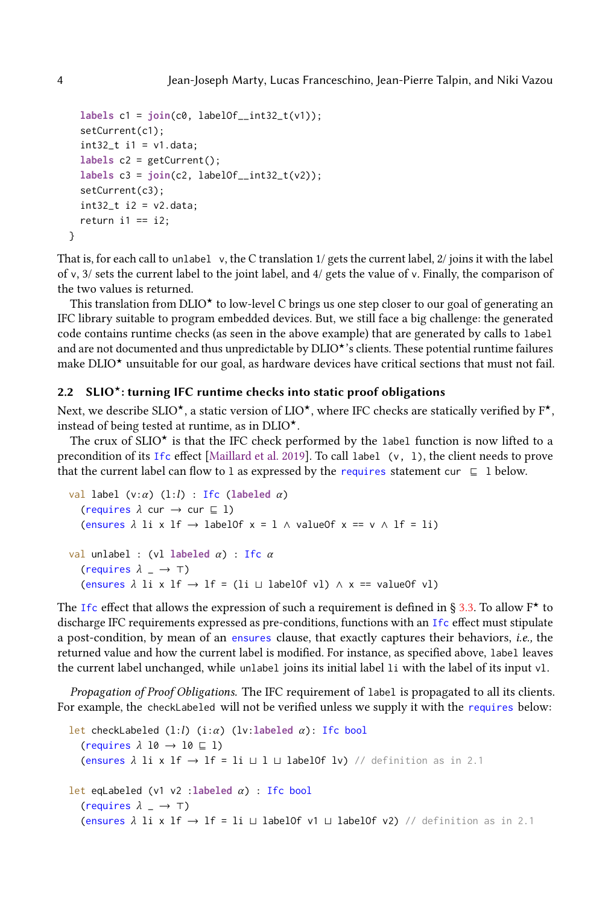```
labels c1 = join(c0, labelOf__int32_t(v1));
setCurrent(c1);
int32_t i1 = v1.data;labels c2 = getCurrent();
labels c3 = join(c2, labelOf__int32_t(v2));
setCurrent(c3);
int32_t i2 = v2.data;return i1 == i2;
```
That is, for each call to unlabel v, the C translation 1/ gets the current label, 2/ joins it with the label of v, 3/ sets the current label to the joint label, and  $4/$  gets the value of v. Finally, the comparison of the two values is returned.

This translation from DLIO<sup> $\star$ </sup> to low-level C brings us one step closer to our goal of generating an IFC library suitable to program embedded devices. But, we still face a big challenge: the generated code contains runtime checks (as seen in the above example) that are generated by calls to label and are not documented and thus unpredictable by DLIO<sup>\*</sup>'s clients. These potential runtime failures make  $DLIO<sup>*</sup>$  unsuitable for our goal, as hardware devices have critical sections that must not fail.

#### <span id="page-3-0"></span>2.2 SLIO<sup> $\star$ </sup>: turning IFC runtime checks into static proof obligations

Next, we describe SLIO<sup>\*</sup>, a static version of LIO<sup>\*</sup>, where IFC checks are statically verified by  $F^*$ , instead of being tested at runtime, as in  $DLIO^{\star}$ .

The crux of  $SLIO^*$  is that the IFC check performed by the label function is now lifted to a precondition of its Ifc effect [\[Maillard et al.](#page-26-9) [2019\]](#page-26-9). To call label (v, l), the client needs to prove that the current label can flow to 1 as expressed by the requires statement cur  $\subseteq$  1 below.

```
val label (v:α) (l:l) : Ifc (labeled α)
   (requires \lambda cur \rightarrow cur \subseteq 1)
   (ensures \lambda li x lf \rightarrow labelOf x = l \land valueOf x == v \land lf = li)
val unlabel : (vl labeled \alpha) : Ifc \alpha(requires \lambda = \rightarrow \top)
   (ensures \lambda li x lf \rightarrow lf = (li \sqcup labelOf vl) \land x == valueOf vl)
```
The Ifc effect that allows the expression of such a requirement is defined in § [3.3.](#page-9-0) To allow  $F^{\star}$  to discharge IFC requirements expressed as pre-conditions, functions with an Ifc effect must stipulate a post-condition, by mean of an ensures clause, that exactly captures their behaviors, i.e., the returned value and how the current label is modified. For instance, as specified above, label leaves the current label unchanged, while unlabel joins its initial label li with the label of its input vl.

Propagation of Proof Obligations. The IFC requirement of label is propagated to all its clients. For example, the checkLabeled will not be verified unless we supply it with the requires below:

```
let checkLabeled (l:l) (i:α) (lv:labeled α): Ifc bool
  (requires \lambda 10 \rightarrow 10 \subseteq 1)
  (ensures λ li x lf → lf = li ⊔ l ⊔ labelOf lv) // definition as in 2.1
let eqLabeled (v1 v2 :labeled \alpha) : Ifc bool
  (requires \lambda = \rightarrow \top)
  (ensures \lambda li x lf → lf = li \sqcup labelOf v1 \sqcup labelOf v2) // definition as in 2.1
```
}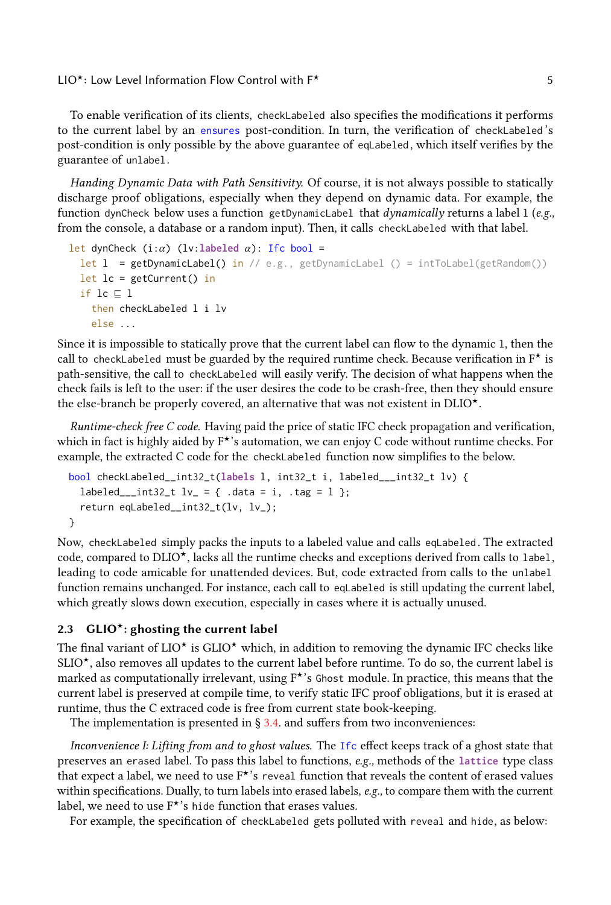To enable verification of its clients, checkLabeled also specifies the modifications it performs to the current label by an ensures post-condition. In turn, the verification of checkLabeled 's post-condition is only possible by the above guarantee of eqLabeled , which itself verifies by the guarantee of unlabel.

Handing Dynamic Data with Path Sensitivity. Of course, it is not always possible to statically discharge proof obligations, especially when they depend on dynamic data. For example, the function dynCheck below uses a function getDynamicLabel that *dynamically* returns a label  $1$  (e.g., from the console, a database or a random input). Then, it calls checkLabeled with that label.

```
let dynCheck (i:\alpha) (lv:labeled \alpha): Ifc bool =
 let l = getDynamicLabel() in // e.g., getDynamicLabel () = intToLabel(getRandom())
 let lc = getCurrent() in
  if lc ⊑ l
    then checkLabeled l i lv
    else ...
```
Since it is impossible to statically prove that the current label can flow to the dynamic l, then the call to checkLabeled must be guarded by the required runtime check. Because verification in  $F^{\star}$  is path-sensitive, the call to checkLabeled will easily verify. The decision of what happens when the check fails is left to the user: if the user desires the code to be crash-free, then they should ensure the else-branch be properly covered, an alternative that was not existent in  $DLIO<sup>*</sup>$ .

Runtime-check free C code. Having paid the price of static IFC check propagation and verification, which in fact is highly aided by  $F^*$ 's automation, we can enjoy C code without runtime checks. For example, the extracted C code for the checkLabeled function now simplifies to the below.

```
bool checkLabeled__int32_t(labels l, int32_t i, labeled___int32_t lv) {
  labeled___int32_t lv_ = { .data = i, .tag = 1 };
  return eqLabeled__int32_t(lv, lv_);
}
```
Now, checkLabeled simply packs the inputs to a labeled value and calls eqLabeled . The extracted code, compared to  $DLIO^{\star}$ , lacks all the runtime checks and exceptions derived from calls to label, leading to code amicable for unattended devices. But, code extracted from calls to the unlabel function remains unchanged. For instance, each call to eqLabeled is still updating the current label, which greatly slows down execution, especially in cases where it is actually unused.

### <span id="page-4-0"></span>2.3  $GLIO<sup>*</sup>:$  ghosting the current label

The final variant of  $LIO^{\star}$  is  $GLIO^{\star}$  which, in addition to removing the dynamic IFC checks like  $SLIO^{\star}$ , also removes all updates to the current label before runtime. To do so, the current label is marked as computationally irrelevant, using  $F^{\star}$ 's Ghost module. In practice, this means that the current label is preserved at compile time, to verify static IFC proof obligations, but it is erased at runtime, thus the C extraced code is free from current state book-keeping.

The implementation is presented in  $\S$  [3.4.](#page-11-0) and suffers from two inconveniences:

Inconvenience I: Lifting from and to ghost values. The Ifc effect keeps track of a ghost state that preserves an erased label. To pass this label to functions, e.g., methods of the **lattice** type class that expect a label, we need to use  $F^*$ 's reveal function that reveals the content of erased values within specifications. Dually, to turn labels into erased labels, e.g., to compare them with the current label, we need to use  $F^{\star}$ 's hide function that erases values.

For example, the specification of checkLabeled gets polluted with reveal and hide, as below: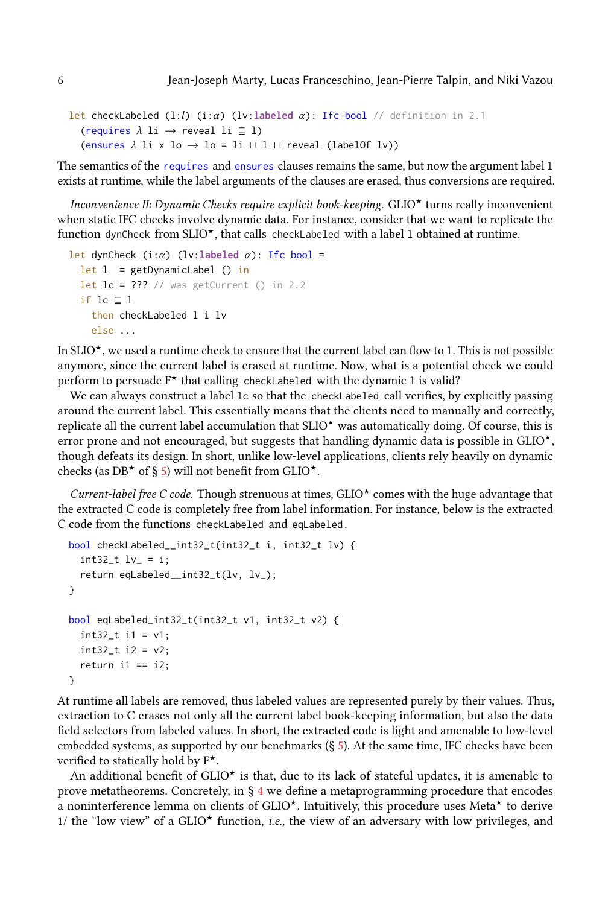```
let checkLabeled (1:l) (i:α) (lv:labeled α): Ifc bool // definition in 2.1
  (requires \lambda li \rightarrow reveal li \subseteq l)
  (ensures \lambda li x lo \rightarrow lo = li \sqcup l \sqcup reveal (labelOf lv))
```
The semantics of the requires and ensures clauses remains the same, but now the argument label 1 exists at runtime, while the label arguments of the clauses are erased, thus conversions are required.

Inconvenience II: Dynamic Checks require explicit book-keeping.  $GLIO^{\star}$  turns really inconvenient when static IFC checks involve dynamic data. For instance, consider that we want to replicate the function dynCheck from  $SLIO^{\star}$ , that calls checkLabeled with a label 1 obtained at runtime.

```
let dynCheck (i:\alpha) (lv:labeled \alpha): Ifc bool =
 let 1 = getDynamicLabel() inlet lc = ??? // was getCurrent () in 2.2
  if lc ⊑ l
    then checkLabeled l i lv
    else ...
```
In SLIO<sup> $\star$ </sup>, we used a runtime check to ensure that the current label can flow to 1. This is not possible anymore, since the current label is erased at runtime. Now, what is a potential check we could perform to persuade  $F^*$  that calling checkLabeled with the dynamic 1 is valid?

We can always construct a label 1c so that the checkLabeled call verifies, by explicitly passing around the current label. This essentially means that the clients need to manually and correctly, replicate all the current label accumulation that  $SLIO^{\star}$  was automatically doing. Of course, this is error prone and not encouraged, but suggests that handling dynamic data is possible in  $GLIO^{\star}$ , though defeats its design. In short, unlike low-level applications, clients rely heavily on dynamic checks (as DB<sup> $\star$ </sup> of § [5\)](#page-18-0) will not benefit from GLIO $\star$ .

Current-label free C code. Though strenuous at times,  $GLIO<sup>*</sup>$  comes with the huge advantage that the extracted C code is completely free from label information. For instance, below is the extracted C code from the functions checkLabeled and eqLabeled .

```
bool checkLabeled__int32_t(int32_t i, int32_t lv) {
  int32_t lv_ = i;
  return eqLabeled__int32_t(lv, lv_);
}
bool eqLabeled_int32_t(int32_t v1, int32_t v2) {
  int32_t i1 = v1;int32_t i2 = v2;return i1 == i2;
}
```
At runtime all labels are removed, thus labeled values are represented purely by their values. Thus, extraction to C erases not only all the current label book-keeping information, but also the data field selectors from labeled values. In short, the extracted code is light and amenable to low-level embedded systems, as supported by our benchmarks  $(S_5)$  $(S_5)$ . At the same time, IFC checks have been verified to statically hold by  $F^{\star}$ .

An additional benefit of  $GLIO^{\star}$  is that, due to its lack of stateful updates, it is amenable to prove metatheorems. Concretely, in  $\S$  [4](#page-13-0) we define a metaprogramming procedure that encodes a noninterference lemma on clients of GLIO<sup>\*</sup>. Intuitively, this procedure uses Meta<sup>\*</sup> to derive 1/ the "low view" of a  $GLIO^{\star}$  function, *i.e.*, the view of an adversary with low privileges, and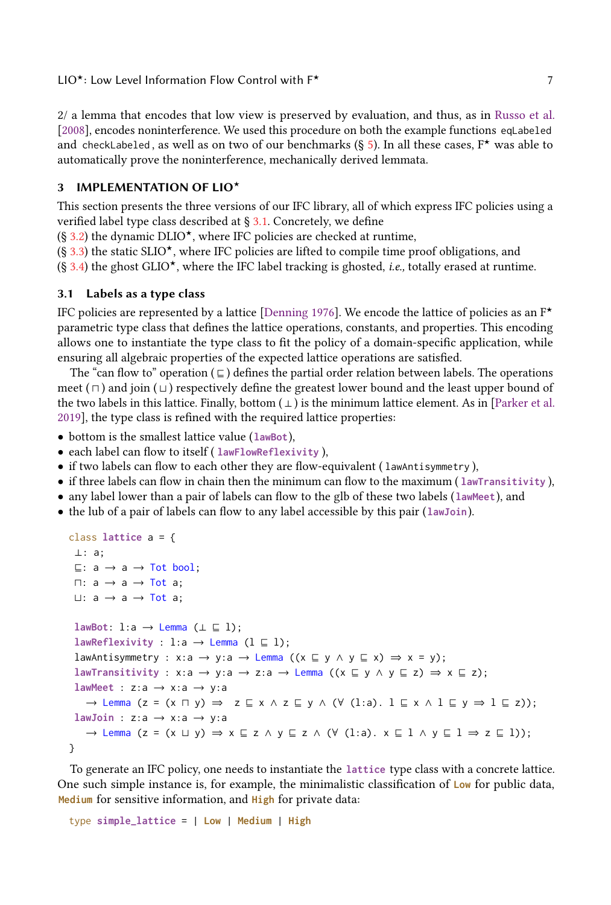2/ a lemma that encodes that low view is preserved by evaluation, and thus, as in [Russo et al.](#page-26-12) [\[2008\]](#page-26-12), encodes noninterference. We used this procedure on both the example functions eqLabeled and checkLabeled, as well as on two of our benchmarks (§ [5\)](#page-18-0). In all these cases,  $F^{\star}$  was able to automatically prove the noninterference, mechanically derived lemmata.

## <span id="page-6-0"></span>3 IMPLEMENTATION OF LIO\*

This section presents the three versions of our IFC library, all of which express IFC policies using a verified label type class described at § [3.1.](#page-6-1) Concretely, we define

 $(\S 3.2)$  $(\S 3.2)$  the dynamic DLIO<sup>\*</sup>, where IFC policies are checked at runtime,

 $(\S 3.3)$  $(\S 3.3)$  the static SLIO<sup>\*</sup>, where IFC policies are lifted to compile time proof obligations, and

 $(\S 3.4)$  $(\S 3.4)$  the ghost GLIO<sup>\*</sup>, where the IFC label tracking is ghosted, *i.e.*, totally erased at runtime.

#### <span id="page-6-1"></span>3.1 Labels as a type class

IFC policies are represented by a lattice [\[Denning](#page-25-3) [1976\]](#page-25-3). We encode the lattice of policies as an  $F^*$ parametric type class that defines the lattice operations, constants, and properties. This encoding allows one to instantiate the type class to fit the policy of a domain-specific application, while ensuring all algebraic properties of the expected lattice operations are satisfied.

The "can flow to" operation ( $\subseteq$ ) defines the partial order relation between labels. The operations meet ( $\sqcap$ ) and join ( $\sqcup$ ) respectively define the greatest lower bound and the least upper bound of the two labels in this lattice. Finally, bottom  $( \perp )$  is the minimum lattice element. As in [\[Parker et al.](#page-26-5) [2019\]](#page-26-5), the type class is refined with the required lattice properties:

- bottom is the smallest lattice value (**lawBot**),
- each label can flow to itself ( **lawFlowReflexivity** ),
- if two labels can flow to each other they are flow-equivalent ( lawAntisymmetry ),
- if three labels can flow in chain then the minimum can flow to the maximum ( **lawTransitivity** ),
- any label lower than a pair of labels can flow to the glb of these two labels (**lawMeet**), and
- the lub of a pair of labels can flow to any label accessible by this pair (**lawJoin**).

```
class lattice a = {
 ⊥: a;
 ⊑: a → a → Tot bool;
 □: a → a → Tot a;⊔: a → a → Tot a;
 lawBot: l:a \rightarrow Lemma (\perp \sqsubseteq 1);
 lawReflexivity : l:a → Lemma (1 ⊆ 1);
 lawAntisymmetry : x:a \rightarrow y:a \rightarrow Lemma ((x \sqsubseteq y \land y \sqsubseteq x) \Rightarrow x = y);
 lawTransitivity : x:a \rightarrow y:a \rightarrow z:a \rightarrow Lemma ((x \sqsubseteq y \land y \sqsubseteq z) \Rightarrow x \sqsubseteq z);
 lawMeet : z:a \rightarrow x:a \rightarrow y:a
    \rightarrow Lemma (z = (x ∩ y) \Rightarrow z \sqsubseteq x \land z \sqsubseteq y \land (\lor (l:a). l \sqsubseteq x \land l \sqsubseteq y \Rightarrow l \sqsubseteq z));
 lawJoin : z:a → x:a → y:a
    → Lemma (z = (x ⊔ y) ⇒ x ⊑ z ∧ y ⊑ z ∧ (∀ (l:a). x ⊑ l ∧ y ⊑ l ⇒ z ⊑ l));
}
```
To generate an IFC policy, one needs to instantiate the **lattice** type class with a concrete lattice. One such simple instance is, for example, the minimalistic classification of **Low** for public data, **Medium** for sensitive information, and **High** for private data:

type **simple\_lattice** = | **Low** | **Medium** | **High**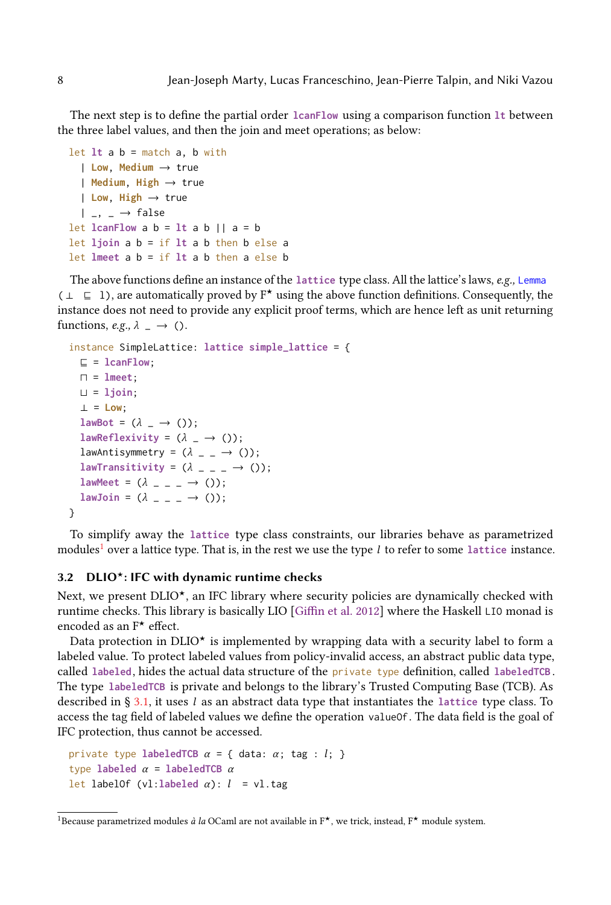The next step is to define the partial order **lcanFlow** using a comparison function **lt** between the three label values, and then the join and meet operations; as below:

```
let lt a b = match a, b with
  | Low, Medium → true
  | Medium, High → true
  | Low, High → true
  |, \rightarrow false
let lcanFlow a b = lt a b || a = blet ljoin a b = if lt a b then b else a
let lmeet a b = if lt a b then a else b
```
The above functions define an instance of the **lattice** type class. All the lattice's laws, e.g., Lemma  $( \perp \sqsubseteq 1)$ , are automatically proved by F<sup>★</sup> using the above function definitions. Consequently, the instance does not need to provide any explicit proof terms, which are hence left as unit returning functions, e.g.,  $\lambda = \rightarrow$  ().

```
instance SimpleLattice: lattice simple_lattice = {
  ⊑ = lcanFlow;
  ⊓ = lmeet;
  ⊔ = ljoin;
  ⊥ = Low;
  lawBot = (\lambda \_ \rightarrow ());lawReflexivity = (\lambda \_ \rightarrow ());lawAntisymmetry = (\lambda_ - _ - \rightarrow  ());
  lawTransitivity = (\lambda \_ - \_ - \rightarrow ()));
  lawMeet = (\lambda_{---} \rightarrow ());lawJoin = (\lambda_{- - -} \rightarrow 0);}
```
To simplify away the **lattice** type class constraints, our libraries behave as parametrized modules<sup>[1](#page-7-1)</sup> over a lattice type. That is, in the rest we use the type  $l$  to refer to some lattice instance.

#### <span id="page-7-0"></span>3.2 DLIO<sup> $\star$ </sup>: IFC with dynamic runtime checks

Next, we present  $DLIO^*$ , an IFC library where security policies are dynamically checked with runtime checks. This library is basically LIO [\[Giffin et al.](#page-25-4) [2012\]](#page-25-4) where the Haskell LIO monad is encoded as an  $F^*$  effect.

Data protection in DLIO<sup>\*</sup> is implemented by wrapping data with a security label to form a labeled value. To protect labeled values from policy-invalid access, an abstract public data type, called **labeled**, hides the actual data structure of the private type definition, called **labeledTCB** . The type **labeledTCB** is private and belongs to the library's Trusted Computing Base (TCB). As described in § [3.1,](#page-6-1) it uses l as an abstract data type that instantiates the **lattice** type class. To access the tag field of labeled values we define the operation valueOf. The data field is the goal of IFC protection, thus cannot be accessed.

```
private type labeledTCB \alpha = \{ data: \alpha; tag : l; \}type labeled \alpha = labeledTCB \alphalet labelOf (vl:labeled \alpha): l = vl.tag
```
<span id="page-7-1"></span><sup>&</sup>lt;sup>1</sup>Because parametrized modules *à la* OCaml are not available in  $F^{\star}$ , we trick, instead,  $F^{\star}$  module system.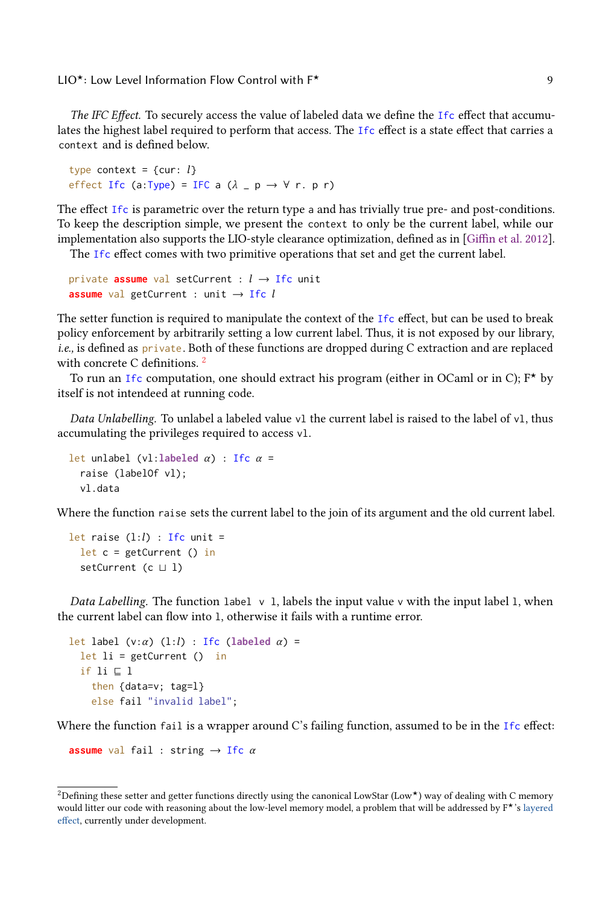The IFC Effect. To securely access the value of labeled data we define the Ifc effect that accumulates the highest label required to perform that access. The Ifc effect is a state effect that carries a context and is defined below.

```
type context = {cur: l}
effect Ifc (a:Type) = IFC a (\lambda _ p \rightarrow \forall r. p r)
```
The effect Ifc is parametric over the return type a and has trivially true pre- and post-conditions. To keep the description simple, we present the context to only be the current label, while our implementation also supports the LIO-style clearance optimization, defined as in [\[Giffin et al.](#page-25-4) [2012\]](#page-25-4). The Ifc effect comes with two primitive operations that set and get the current label.

```
private assume val setCurrent : l \rightarrow Ifc unit
assume val getCurrent : unit \rightarrow Ifc l
```
The setter function is required to manipulate the context of the Ifc effect, but can be used to break policy enforcement by arbitrarily setting a low current label. Thus, it is not exposed by our library, i.e., is defined as private. Both of these functions are dropped during C extraction and are replaced with concrete C definitions.<sup>[2](#page-8-0)</sup>

To run an Ifc computation, one should extract his program (either in OCaml or in C);  $F^*$  by itself is not intendeed at running code.

Data Unlabelling. To unlabel a labeled value v1 the current label is raised to the label of v1, thus accumulating the privileges required to access vl.

```
let unlabel (vl:labeled \alpha) : Ifc \alpha =
  raise (labelOf vl);
  vl.data
```
Where the function raise sets the current label to the join of its argument and the old current label.

```
let raise (l:l) : Ifc unit =
 let c = getCurrent() insetCurrent (c ⊔ l)
```
Data Labelling. The function label  $v_1$ , labels the input value  $v_2$  with the input label 1, when the current label can flow into l, otherwise it fails with a runtime error.

```
let label (v:\alpha) (l:l) : Ifc (labeled \alpha) =
 let li = getCurrent() inif li ⊑ l
    then {data=v; tag=l}
    else fail "invalid label";
```
Where the function fail is a wrapper around C's failing function, assumed to be in the Ifc effect:

**assume** val fail : string  $\rightarrow$  Ifc  $\alpha$ 

<span id="page-8-0"></span><sup>&</sup>lt;sup>2</sup>Defining these setter and getter functions directly using the canonical LowStar (Low<sup>★</sup>) way of dealing with C memory would litter our code with reasoning about the low-level memory model, a problem that will be addressed by F<sup>★</sup>'s [layered](https://github.com/FStarLang/FStar/wiki/Proposal:-Effect-Layering) [effect,](https://github.com/FStarLang/FStar/wiki/Proposal:-Effect-Layering) currently under development.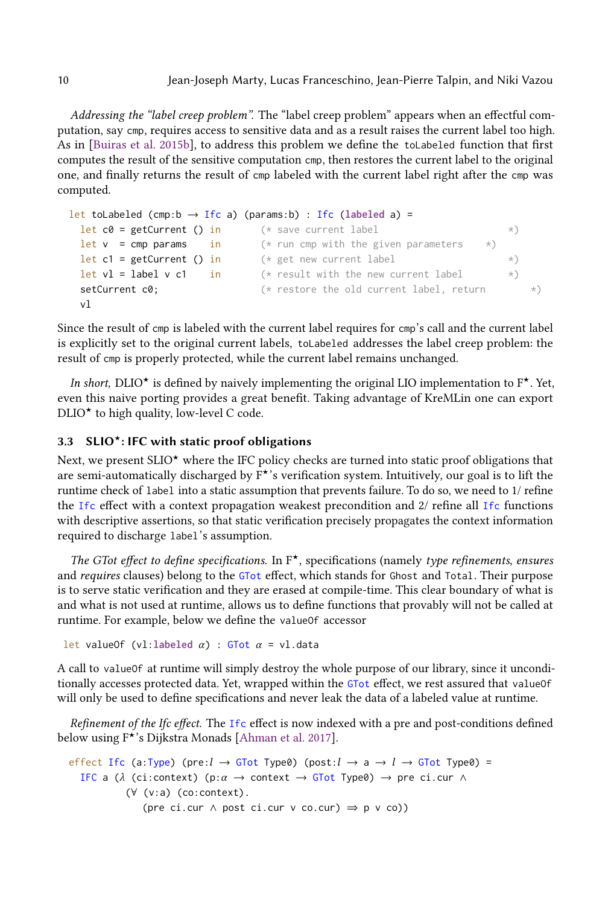Addressing the "label creep problem". The "label creep problem" appears when an effectful computation, say cmp, requires access to sensitive data and as a result raises the current label too high. As in [\[Buiras et al.](#page-25-5) [2015b\]](#page-25-5), to address this problem we define the toLabeled function that first computes the result of the sensitive computation cmp, then restores the current label to the original one, and finally returns the result of cmp labeled with the current label right after the cmp was computed.

```
let toLabeled (cmp:b \rightarrow Ifc a) (params:b) : Ifc (labeled a) =
 let c0 = getCurrent () in (*) save current label (*)let v = cmp params in (* run cmp with the given parameters *)
 let c1 = getCurrent () in (*) get new current label (*)let vl = label v c1 in (* result with the new current label (*)setCurrent c0; (*) restore the old current label, return (*)vl
```
Since the result of cmp is labeled with the current label requires for cmp's call and the current label is explicitly set to the original current labels, toLabeled addresses the label creep problem: the result of cmp is properly protected, while the current label remains unchanged.

In short, DLIO<sup>★</sup> is defined by naively implementing the original LIO implementation to  $F^{\star}$ . Yet, even this naive porting provides a great benefit. Taking advantage of KreMLin one can export  $DLIO^{\star}$  to high quality, low-level C code.

## <span id="page-9-0"></span>3.3 SLIO<sup>\*</sup>: IFC with static proof obligations

Next, we present  $SLIO^{\star}$  where the IFC policy checks are turned into static proof obligations that are semi-automatically discharged by  $F^{\star}$ 's verification system. Intuitively, our goal is to lift the runtime check of label into a static assumption that prevents failure. To do so, we need to 1/ refine the Ifc effect with a context propagation weakest precondition and 2/ refine all Ifc functions with descriptive assertions, so that static verification precisely propagates the context information required to discharge label's assumption.

The GTot effect to define specifications. In  $F^*$ , specifications (namely type refinements, ensures and requires clauses) belong to the GTot effect, which stands for Ghost and Total. Their purpose is to serve static verification and they are erased at compile-time. This clear boundary of what is and what is not used at runtime, allows us to define functions that provably will not be called at runtime. For example, below we define the valueOf accessor

```
let valueOf (vl:labeled \alpha) : GTot \alpha = vl.data
```
A call to valueOf at runtime will simply destroy the whole purpose of our library, since it unconditionally accesses protected data. Yet, wrapped within the GTot effect, we rest assured that valueOf will only be used to define specifications and never leak the data of a labeled value at runtime.

Refinement of the Ifc effect. The Ifc effect is now indexed with a pre and post-conditions defined below using  $F^{\star}$ 's Dijkstra Monads [\[Ahman et al.](#page-25-6) [2017\]](#page-25-6).

```
effect Ifc (a:Type) (pre:l \rightarrow GTot Type0) (post:l \rightarrow a \rightarrow l \rightarrow GTot Type0) =
  IFC a (\lambda (ci:context) (p:\alpha \rightarrow context \rightarrow GTot Type0) \rightarrow pre ci.cur \wedge(∀ (v:a) (co:context).
                   (pre ci.cur \land post ci.cur \lor co.cur) \Rightarrow p \lor co))
```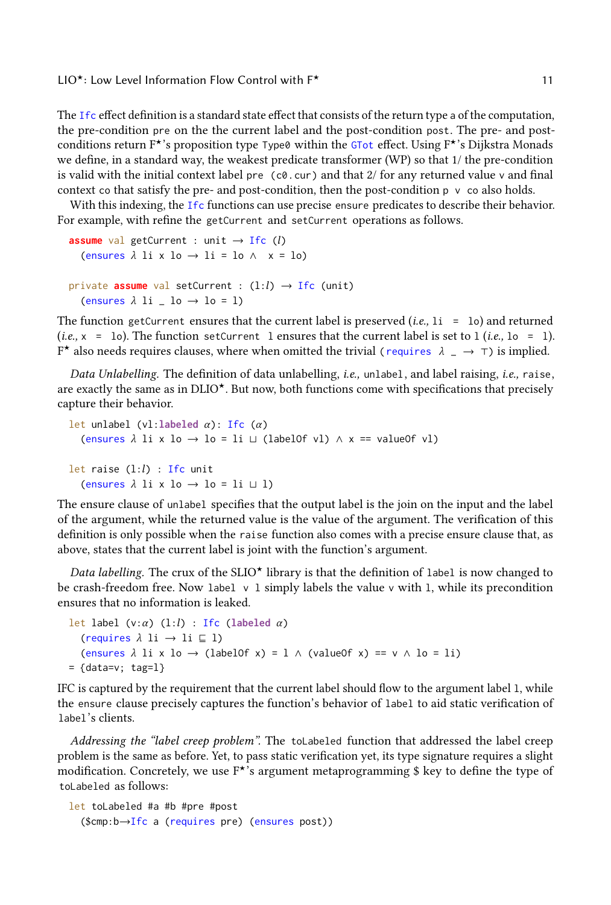The Ifc effect definition is a standard state effect that consists of the return type a of the computation, the pre-condition pre on the the current label and the post-condition post. The pre- and postconditions return  $F\star$ 's proposition type Type0 within the GTot effect. Using  $F\star$ 's Dijkstra Monads we define, in a standard way, the weakest predicate transformer (WP) so that 1/ the pre-condition is valid with the initial context label pre  $(c0.cur)$  and that  $2/$  for any returned value v and final context co that satisfy the pre- and post-condition, then the post-condition  $p \vee c$  also holds.

With this indexing, the Ifc functions can use precise ensure predicates to describe their behavior. For example, with refine the getCurrent and setCurrent operations as follows.

```
assume val getCurrent : unit \rightarrow Ifc (l)
   (ensures \lambda li x lo \rightarrow li = lo \wedge x = lo)
private assume val setCurrent : (l:l) \rightarrow Ifc (unit)
  (ensures \lambda li = lo \rightarrow lo = 1)
```
The function getCurrent ensures that the current label is preserved  $(i.e., 1i = 10)$  and returned (*i.e.*,  $x = 10$ ). The function setCurrent 1 ensures that the current label is set to 1 (*i.e.*, 10 = 1). F\* also needs requires clauses, where when omitted the trivial ( requires  $\lambda$   $\rightarrow$   $\tau$ ) is implied.

Data Unlabelling. The definition of data unlabelling, *i.e.*, unlabel, and label raising, *i.e.*, raise, are exactly the same as in  $DLIO<sup>*</sup>$ . But now, both functions come with specifications that precisely capture their behavior.

```
let unlabel (vl:labeled α): Ifc (α)
  (ensures \lambda li x lo \rightarrow lo = li \sqcup (labelOf vl) \land x == valueOf vl)
let raise (l:l) : Ifc unit
  (ensures \lambda li x lo \rightarrow lo = li \sqcup l)
```
The ensure clause of unlabel specifies that the output label is the join on the input and the label of the argument, while the returned value is the value of the argument. The verification of this definition is only possible when the raise function also comes with a precise ensure clause that, as above, states that the current label is joint with the function's argument.

Data labelling. The crux of the SLIO<sup> $\star$ </sup> library is that the definition of label is now changed to be crash-freedom free. Now label v l simply labels the value v with l, while its precondition ensures that no information is leaked.

```
let label (v:\alpha) (1:l) : Ifc (labeled \alpha)
   (requires \lambda li \rightarrow li \subseteq l)
   (ensures \lambda li x lo \rightarrow (labelOf x) = l \wedge (valueOf x) == v \wedge lo = li)
= {data=v; tag=l}
```
IFC is captured by the requirement that the current label should flow to the argument label l, while the ensure clause precisely captures the function's behavior of label to aid static verification of label's clients.

Addressing the "label creep problem". The toLabeled function that addressed the label creep problem is the same as before. Yet, to pass static verification yet, its type signature requires a slight modification. Concretely, we use  $F^*$ 's argument metaprogramming \$ key to define the type of toLabeled as follows:

```
let toLabeled #a #b #pre #post
  ($cmp:b→Ifc a (requires pre) (ensures post))
```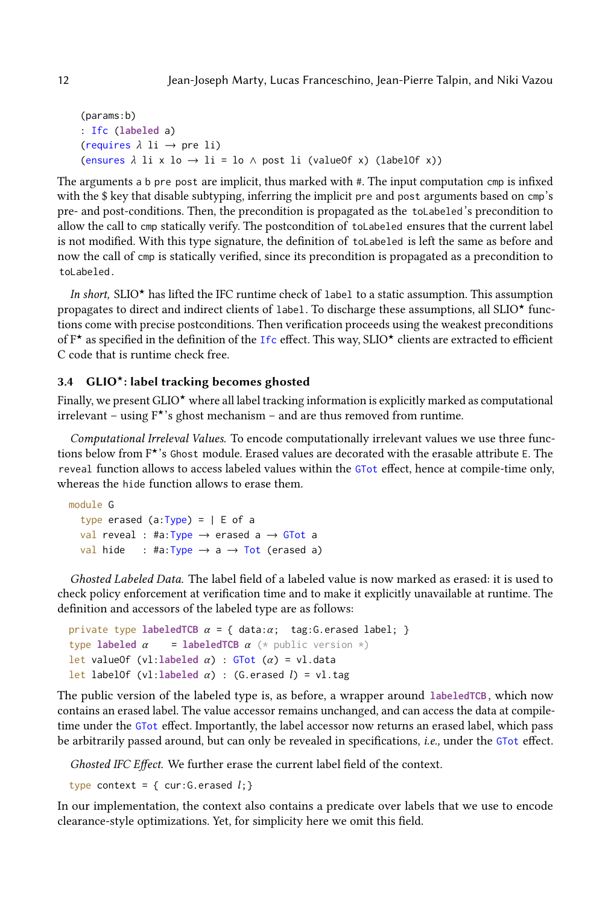```
(params:b)
: Ifc (labeled a)
(requires \lambda li \rightarrow pre li)
(ensures \lambda li x lo \rightarrow li = lo \land post li (valueOf x) (labelOf x))
```
The arguments a b pre post are implicit, thus marked with #. The input computation cmp is infixed with the \$ key that disable subtyping, inferring the implicit pre and post arguments based on cmp's pre- and post-conditions. Then, the precondition is propagated as the toLabeled 's precondition to allow the call to cmp statically verify. The postcondition of toLabeled ensures that the current label is not modified. With this type signature, the definition of toLabeled is left the same as before and now the call of cmp is statically verified, since its precondition is propagated as a precondition to toLabeled .

In short, SLIO<sup> $\star$ </sup> has lifted the IFC runtime check of label to a static assumption. This assumption propagates to direct and indirect clients of label. To discharge these assumptions, all SLIO $\star$  functions come with precise postconditions. Then verification proceeds using the weakest preconditions of  $F^{\star}$  as specified in the definition of the Ifc effect. This way, SLIO $^{\star}$  clients are extracted to efficient C code that is runtime check free.

### <span id="page-11-0"></span> $3.4$  GLIO<sup>\*</sup>: label tracking becomes ghosted

Finally, we present  $GLIO^{\star}$  where all label tracking information is explicitly marked as computational irrelevant – using  $F^{\star}$ 's ghost mechanism – and are thus removed from runtime.

Computational Irreleval Values. To encode computationally irrelevant values we use three functions below from  $F^{\star}$ 's Ghost module. Erased values are decorated with the erasable attribute E. The reveal function allows to access labeled values within the GTot effect, hence at compile-time only, whereas the hide function allows to erase them.

```
module G
  type erased (a:Type) = |E of a
  val reveal : #a: Type \rightarrow erased a \rightarrow GTot a
  val hide : #a: Type \rightarrow a \rightarrow Tot (erased a)
```
Ghosted Labeled Data. The label field of a labeled value is now marked as erased: it is used to check policy enforcement at verification time and to make it explicitly unavailable at runtime. The definition and accessors of the labeled type are as follows:

```
private type labeledTCB \alpha = \{ \text{ data} : \alpha; \text{ tag}: G.\text{erased label}; \}type labeled \alpha = labeledTCB \alpha (* public version *)
let valueOf (vl:labeled α) : GTot (α) = vl.data
let labelOf (vl:labeled α) : (G.erased l) = vl.tag
```
The public version of the labeled type is, as before, a wrapper around **labeledTCB** , which now contains an erased label. The value accessor remains unchanged, and can access the data at compiletime under the GTot effect. Importantly, the label accessor now returns an erased label, which pass be arbitrarily passed around, but can only be revealed in specifications, i.e., under the GTot effect.

Ghosted IFC Effect. We further erase the current label field of the context.

```
type context = { cur: G.erased l; }
```
In our implementation, the context also contains a predicate over labels that we use to encode clearance-style optimizations. Yet, for simplicity here we omit this field.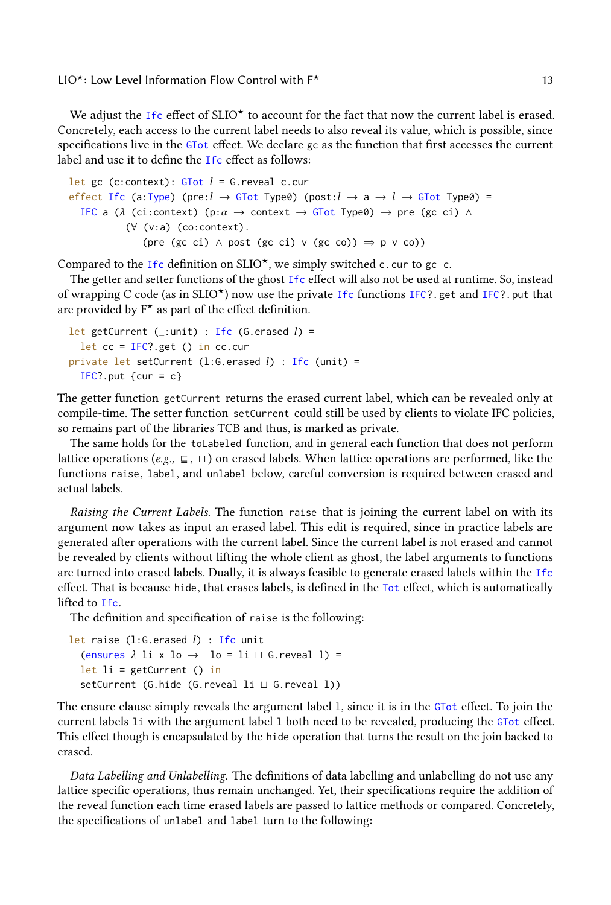We adjust the Ifc effect of SLIO<sup>\*</sup> to account for the fact that now the current label is erased. Concretely, each access to the current label needs to also reveal its value, which is possible, since specifications live in the GTot effect. We declare gc as the function that first accesses the current label and use it to define the Ifc effect as follows:

```
let gc (c:context): GTot l = G. reveal c.cur
effect Ifc (a:Type) (pre:l \rightarrow GTot Type0) (post:l \rightarrow a \rightarrow l \rightarrow GTot Type0) =
  IFC a (\lambda (ci:context) (p:\alpha \rightarrow context \rightarrow GTot Type0) \rightarrow pre (gc ci) \land(∀ (v:a) (co:context).
                  (pre (gc ci) \land post (gc ci) \lor (gc co)) \Rightarrow p \lor co))
```
Compared to the Ifc definition on SLIO<sup>\*</sup>, we simply switched c.cur to gc c.

The getter and setter functions of the ghost Ifc effect will also not be used at runtime. So, instead of wrapping C code (as in SLIO<sup> $\star$ </sup>) now use the private Ifc functions IFC?.get and IFC?.put that are provided by  $F^*$  as part of the effect definition.

```
let getCurrent (_:unit) : Ifc (G.erased l) =
  let cc = IFC? get () in cc.cur
private let setCurrent (1:G.erased l) : Ifc (unit) =
  IFC?.put \{cur = c\}
```
The getter function getCurrent returns the erased current label, which can be revealed only at compile-time. The setter function setCurrent could still be used by clients to violate IFC policies, so remains part of the libraries TCB and thus, is marked as private.

The same holds for the toLabeled function, and in general each function that does not perform lattice operations (e.g.,  $\sqsubseteq$ ,  $\sqcup$ ) on erased labels. When lattice operations are performed, like the functions raise, label, and unlabel below, careful conversion is required between erased and actual labels.

Raising the Current Labels. The function raise that is joining the current label on with its argument now takes as input an erased label. This edit is required, since in practice labels are generated after operations with the current label. Since the current label is not erased and cannot be revealed by clients without lifting the whole client as ghost, the label arguments to functions are turned into erased labels. Dually, it is always feasible to generate erased labels within the Ifc effect. That is because hide, that erases labels, is defined in the Tot effect, which is automatically lifted to Ifc.

The definition and specification of raise is the following:

```
let raise (1:G.erased l) : Ifc unit
  (ensures \lambda li x lo \rightarrow lo = li \sqcup G.reveal l) =
  let li = getCurrent() insetCurrent (G.hide (G.reveal li ⊔ G.reveal l))
```
The ensure clause simply reveals the argument label l, since it is in the GTot effect. To join the current labels li with the argument label l both need to be revealed, producing the GTot effect. This effect though is encapsulated by the hide operation that turns the result on the join backed to erased.

Data Labelling and Unlabelling. The definitions of data labelling and unlabelling do not use any lattice specific operations, thus remain unchanged. Yet, their specifications require the addition of the reveal function each time erased labels are passed to lattice methods or compared. Concretely, the specifications of unlabel and label turn to the following: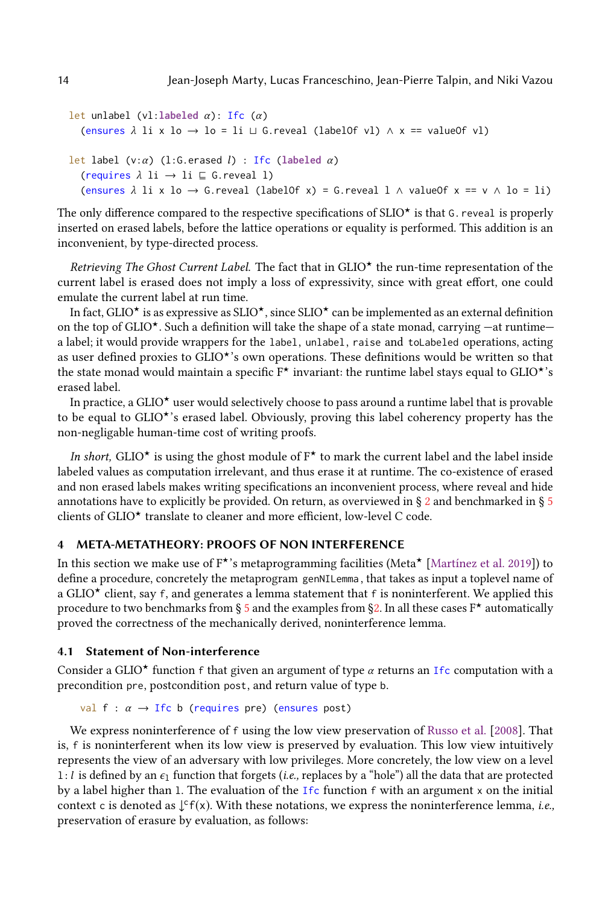```
let unlabel (vl:labeled α): Ifc (α)
  (ensures \lambda li x lo → lo = li \sqcup G.reveal (labelOf vl) \land x == valueOf vl)
let label (v:α) (l:G.erased l) : Ifc (labeled α)
  (requires \lambda li \rightarrow li \subseteq G.reveal l)
  (ensures \lambda li x lo \rightarrow G.reveal (labelOf x) = G.reveal l \land valueOf x == v \land lo = li)
```
The only difference compared to the respective specifications of SLIO $\star$  is that G. reveal is properly inserted on erased labels, before the lattice operations or equality is performed. This addition is an inconvenient, by type-directed process.

Retrieving The Ghost Current Label. The fact that in  $GLIO^{\star}$  the run-time representation of the current label is erased does not imply a loss of expressivity, since with great effort, one could emulate the current label at run time.

In fact, GLIO<sup> $\star$ </sup> is as expressive as SLIO $\star$ , since SLIO $\star$  can be implemented as an external definition on the top of GLIO<sup> $\star$ </sup>. Such a definition will take the shape of a state monad, carrying —at runtime a label; it would provide wrappers for the label, unlabel, raise and toLabeled operations, acting as user defined proxies to GLIO<sup>\*</sup>'s own operations. These definitions would be written so that the state monad would maintain a specific  $F^{\star}$  invariant: the runtime label stays equal to GLIO<sup> $\star$ 's</sup> erased label.

In practice, a GLIO $\star$  user would selectively choose to pass around a runtime label that is provable to be equal to  $GLIO^*$ 's erased label. Obviously, proving this label coherency property has the non-negligable human-time cost of writing proofs.

In short, GLIO<sup> $\star$ </sup> is using the ghost module of  $F^{\star}$  to mark the current label and the label inside labeled values as computation irrelevant, and thus erase it at runtime. The co-existence of erased and non erased labels makes writing specifications an inconvenient process, where reveal and hide annotations have to explicitly be provided. On return, as overviewed in § [2](#page-1-0) and benchmarked in § [5](#page-18-0) clients of  $GLIO^{\star}$  translate to cleaner and more efficient, low-level C code.

## <span id="page-13-0"></span>4 META-METATHEORY: PROOFS OF NON INTERFERENCE

In this section we make use of  $F^{\star}$ 's metaprogramming facilities (Meta $^{\star}$  [\[Martínez et al.](#page-26-10) [2019\]](#page-26-10)) to define a procedure, concretely the metaprogram genNILemma , that takes as input a toplevel name of a GLIO<sup> $\star$ </sup> client, say f, and generates a lemma statement that f is noninterferent. We applied this procedure to two benchmarks from § [5](#page-18-0) and the examples from [§2.](#page-1-0) In all these cases  $F^*$  automatically proved the correctness of the mechanically derived, noninterference lemma.

## <span id="page-13-1"></span>4.1 Statement of Non-interference

Consider a GLIO<sup> $\star$ </sup> function f that given an argument of type  $\alpha$  returns an Ifc computation with a precondition pre, postcondition post, and return value of type b.

```
val f : \alpha \rightarrow Ifc b (requires pre) (ensures post)
```
We express noninterference of f using the low view preservation of [Russo et al.](#page-26-12) [\[2008\]](#page-26-12). That is, f is noninterferent when its low view is preserved by evaluation. This low view intuitively represents the view of an adversary with low privileges. More concretely, the low view on a level 1: l is defined by an  $\epsilon_1$  function that forgets (i.e., replaces by a "hole") all the data that are protected by a label higher than l. The evaluation of the Ifc function f with an argument x on the initial context c is denoted as  $\downarrow$ <sup>c</sup>f(x). With these notations, we express the noninterference lemma, *i.e.*, preservation of erasure by evaluation, as follows: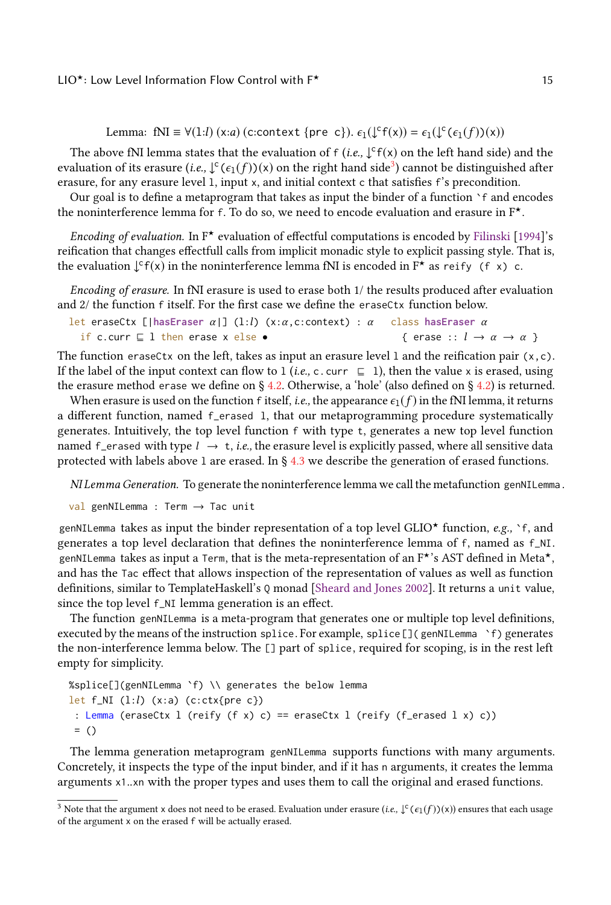```
Lemma: fNI \equiv \forall (1:l) (x:a) (c:context {pre c}). \epsilon_1(\downarrow^c f(x)) = \epsilon_1(\downarrow^c (\epsilon_1(f))(x))
```
The above fNI lemma states that the evaluation of  $f$  (i.e.,  $\downarrow$ <sup>c</sup>  $f(x)$  on the left hand side) and the evaluation of its erasure (*i.e.*,  $\downarrow^c(\epsilon_1(f))$ (x) on the right hand side<sup>[3](#page-14-0)</sup>) cannot be distinguished after erasure, for any erasure level l, input x, and initial context c that satisfies f's precondition.

Our goal is to define a metaprogram that takes as input the binder of a function `f and encodes the noninterference lemma for f. To do so, we need to encode evaluation and erasure in  $F^{\star}$ .

Encoding of evaluation. In  $F^{\star}$  evaluation of effectful computations is encoded by [Filinski](#page-25-7) [\[1994\]](#page-25-7)'s reification that changes effectfull calls from implicit monadic style to explicit passing style. That is, the evaluation  $\int f(x)$  in the noninterference lemma fNI is encoded in  $F^*$  as reify (f x) c.

Encoding of erasure. In fNI erasure is used to erase both 1/ the results produced after evaluation and 2/ the function f itself. For the first case we define the eraseCtx function below.

```
let eraseCtx [|hasEraser α|] (l:l) (x:α,c:context) : α
  if c.curr ⊑ l then erase x else •
                                                                     class hasEraser α
                                                                        { erase :: l \rightarrow \alpha \rightarrow \alpha }
```
The function eraseCtx on the left, takes as input an erasure level l and the reification pair (x,c). If the label of the input context can flow to 1 (*i.e.*, c. curr  $⊆ 1$ ), then the value x is erased, using the erasure method erase we define on § [4.2.](#page-15-0) Otherwise, a 'hole' (also defined on § [4.2\)](#page-15-0) is returned.

When erasure is used on the function f itself, *i.e.*, the appearance  $\epsilon_1(f)$  in the fNI lemma, it returns a different function, named f\_erased l, that our metaprogramming procedure systematically generates. Intuitively, the top level function f with type t, generates a new top level function named f\_erased with type  $l \rightarrow t$ , *i.e.*, the erasure level is explicitly passed, where all sensitive data protected with labels above l are erased. In § [4.3](#page-16-0) we describe the generation of erased functions.

NI Lemma Generation. To generate the noninterference lemma we call the metafunction genNILemma .

 $val$  genNILemma : Term  $\rightarrow$  Tac unit

genNILemma takes as input the binder representation of a top level GLIO<sup>\*</sup> function, e.g., `f, and generates a top level declaration that defines the noninterference lemma of f, named as f\_NI. genNILemma takes as input a Term, that is the meta-representation of an  $F^{\star}$ 's AST defined in Meta $^{\star}$ , and has the Tac effect that allows inspection of the representation of values as well as function definitions, similar to TemplateHaskell's Q monad [\[Sheard and Jones](#page-26-13) [2002\]](#page-26-13). It returns a unit value, since the top level f\_NI lemma generation is an effect.

The function genNILemma is a meta-program that generates one or multiple top level definitions, executed by the means of the instruction splice. For example, splice []( genNILemma `f) generates the non-interference lemma below. The [] part of splice, required for scoping, is in the rest left empty for simplicity.

```
%splice[](genNILemma `f) \\ generates the below lemma
let f_NI (l:l) (x:a) (c:ctx{pre c}): Lemma (eraseCtx l (reify (f x) c) == eraseCtx l (reify (f_erased l x) c))
 = ()
```
The lemma generation metaprogram genNILemma supports functions with many arguments. Concretely, it inspects the type of the input binder, and if it has n arguments, it creates the lemma arguments x1..xn with the proper types and uses them to call the original and erased functions.

<span id="page-14-0"></span> $^3$  Note that the argument x does not need to be erased. Evaluation under erasure (i.e.,  $\downarrow$  C (  $\epsilon_1(f))$ (x)) ensures that each usage of the argument x on the erased f will be actually erased.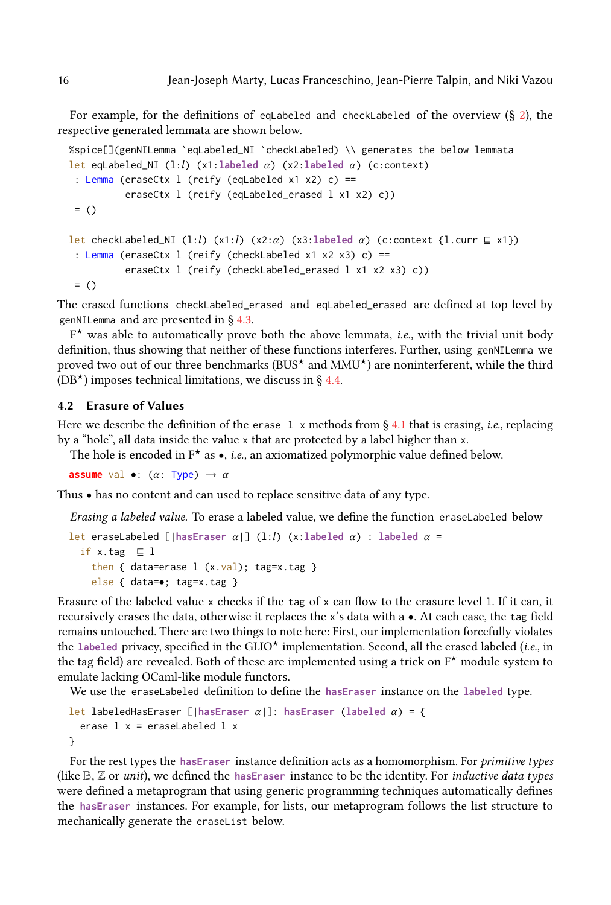For example, for the definitions of eqLabeled and checkLabeled of the overview (§ [2\)](#page-1-0), the respective generated lemmata are shown below.

```
%spice[](genNILemma `eqLabeled_NI `checkLabeled) \\ generates the below lemmata
let eqLabeled_NI (l:l) (x1:labeled α) (x2:labeled α) (c:context)
 : Lemma (eraseCtx l (reify (eqLabeled x1 x2) c) ==
         eraseCtx l (reify (eqLabeled_erased l x1 x2) c))
= ()let checkLabeled_NI (l:l) (x1:l) (x2:α) (x3:labeled α) (c:context {l.curr ⊑ x1})
 : Lemma (eraseCtx l (reify (checkLabeled x1 x2 x3) c) ==
         eraseCtx l (reify (checkLabeled_erased l x1 x2 x3) c))
= ()
```
The erased functions checkLabeled\_erased and eqLabeled\_erased are defined at top level by genNILemma and are presented in § [4.3.](#page-16-0)

 $F^{\star}$  was able to automatically prove both the above lemmata, *i.e.*, with the trivial unit body definition, thus showing that neither of these functions interferes. Further, using genNILemma we proved two out of our three benchmarks (BUS $\star$  and MMU $\star$ ) are noninterferent, while the third  $(DB<sup>*</sup>)$  imposes technical limitations, we discuss in § [4.4.](#page-17-0)

#### <span id="page-15-0"></span>4.2 Erasure of Values

Here we describe the definition of the erase 1 x methods from § [4.1](#page-13-1) that is erasing, *i.e.*, replacing by a "hole", all data inside the value x that are protected by a label higher than x.

The hole is encoded in  $F^*$  as  $\bullet$ , *i.e.*, an axiomatized polymorphic value defined below.

**assume** val •:  $(\alpha: \text{Type}) \rightarrow \alpha$ 

Thus • has no content and can used to replace sensitive data of any type.

Erasing a labeled value. To erase a labeled value, we define the function eraseLabeled below

```
let eraseLabeled [|hasEraser α|] (l:l) (x:labeled α) : labeled α =
  if x.tag ⊑ l
    then { data=erase 1 (x.val); tag=x.tag }
    else { data=•; tag=x.tag }
```
Erasure of the labeled value x checks if the tag of x can flow to the erasure level l. If it can, it recursively erases the data, otherwise it replaces the x's data with a •. At each case, the tag field remains untouched. There are two things to note here: First, our implementation forcefully violates the labeled privacy, specified in the GLIO<sup>\*</sup> implementation. Second, all the erased labeled (i.e., in the tag field) are revealed. Both of these are implemented using a trick on  $F^*$  module system to emulate lacking OCaml-like module functors.

We use the eraseLabeled definition to define the **hasEraser** instance on the **labeled** type.

```
let labeledHasEraser [|hasEraser α|]: hasEraser (labeled α) = {
 erase 1 x = eraseLabeled 1 x}
```
For the rest types the **hasEraser** instance definition acts as a homomorphism. For primitive types (like B, Z or unit), we defined the **hasEraser** instance to be the identity. For inductive data types were defined a metaprogram that using generic programming techniques automatically defines the **hasEraser** instances. For example, for lists, our metaprogram follows the list structure to mechanically generate the eraseList below.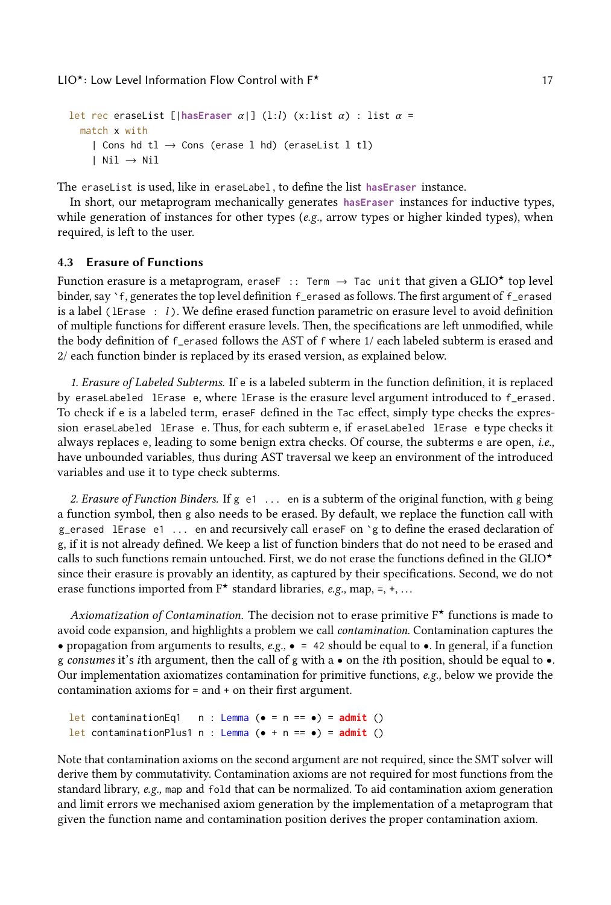```
let rec eraseList [|hasEraser \alpha|] (l:l) (x:list \alpha) : list \alpha =
  match x with
    | Cons hd tl \rightarrow Cons (erase l hd) (eraseList l tl)
    | Nil → Nil
```
The eraseList is used, like in eraseLabel , to define the list **hasEraser** instance.

In short, our metaprogram mechanically generates **hasEraser** instances for inductive types, while generation of instances for other types  $(e.g.,$  arrow types or higher kinded types), when required, is left to the user.

## <span id="page-16-0"></span>4.3 Erasure of Functions

Function erasure is a metaprogram, eraseF :: Term  $\rightarrow$  Tac unit that given a GLIO\* top level binder, say `f, generates the top level definition f\_erased as follows. The first argument of f\_erased is a label (1Erase  $: l$ ). We define erased function parametric on erasure level to avoid definition of multiple functions for different erasure levels. Then, the specifications are left unmodified, while the body definition of f\_erased follows the AST of f where 1/ each labeled subterm is erased and 2/ each function binder is replaced by its erased version, as explained below.

1. Erasure of Labeled Subterms. If e is a labeled subterm in the function definition, it is replaced by eraseLabeled lErase e, where lErase is the erasure level argument introduced to f\_erased. To check if e is a labeled term, eraseF defined in the Tac effect, simply type checks the expression eraseLabeled lErase e. Thus, for each subterm e, if eraseLabeled lErase e type checks it always replaces e, leading to some benign extra checks. Of course, the subterms e are open, i.e., have unbounded variables, thus during AST traversal we keep an environment of the introduced variables and use it to type check subterms.

2. Erasure of Function Binders. If  $g \neq 1$ ... en is a subterm of the original function, with g being a function symbol, then g also needs to be erased. By default, we replace the function call with g\_erased lErase e1 ... en and recursively call eraseF on `g to define the erased declaration of g, if it is not already defined. We keep a list of function binders that do not need to be erased and calls to such functions remain untouched. First, we do not erase the functions defined in the GLIO $\star$ since their erasure is provably an identity, as captured by their specifications. Second, we do not erase functions imported from  $F^*$  standard libraries, e.g., map, =, +, ...

Axiomatization of Contamination. The decision not to erase primitive  $F^{\star}$  functions is made to avoid code expansion, and highlights a problem we call contamination. Contamination captures the • propagation from arguments to results,  $e.g., \bullet = 42$  should be equal to  $\bullet$ . In general, if a function g consumes it's ith argument, then the call of g with a • on the ith position, should be equal to •. Our implementation axiomatizes contamination for primitive functions, e.g., below we provide the contamination axioms for = and + on their first argument.

let contaminationEq1  $n :$  Lemma ( $\bullet = n == \bullet$ ) = **admit** () let contaminationPlus1 n : Lemma (• + n == •) = **admit** ()

Note that contamination axioms on the second argument are not required, since the SMT solver will derive them by commutativity. Contamination axioms are not required for most functions from the standard library, e.g., map and fold that can be normalized. To aid contamination axiom generation and limit errors we mechanised axiom generation by the implementation of a metaprogram that given the function name and contamination position derives the proper contamination axiom.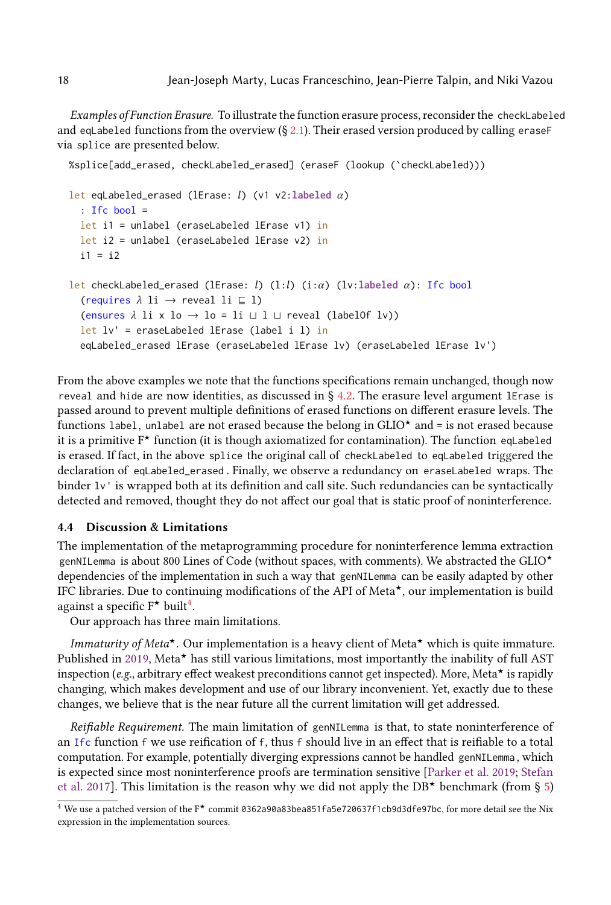Examples of Function Erasure. To illustrate the function erasure process, reconsider the checkLabeled and eqLabeled functions from the overview  $(S, 2.1)$  $(S, 2.1)$ . Their erased version produced by calling eraseF via splice are presented below.

```
%splice[add_erased, checkLabeled_erased] (eraseF (lookup (`checkLabeled)))
let eqLabeled_erased (lErase: l) (v1 v2:labeled α)
  : Ifc bool =
  let i1 = unlabel (eraseLabeled lErase v1) in
  let i2 = unlabel (eraseLabeled lErase v2) in
  i1 = i2let checkLabeled_erased (lErase: l) (l:l) (i:α) (lv:labeled α): Ifc bool
  (requires \lambda li \rightarrow reveal li \subseteq l)
  (ensures \lambda li x lo \rightarrow lo = li \sqcup l \sqcup reveal (labelOf lv))
  let lv' = eraseLabeled lErase (label i l) in
  eqLabeled_erased lErase (eraseLabeled lErase lv) (eraseLabeled lErase lv')
```
From the above examples we note that the functions specifications remain unchanged, though now reveal and hide are now identities, as discussed in § [4.2.](#page-15-0) The erasure level argument lErase is passed around to prevent multiple definitions of erased functions on different erasure levels. The functions label, unlabel are not erased because the belong in  $GLIO^*$  and = is not erased because it is a primitive  $F^*$  function (it is though axiomatized for contamination). The function eqLabeled is erased. If fact, in the above splice the original call of checkLabeled to eqLabeled triggered the declaration of eqLabeled\_erased . Finally, we observe a redundancy on eraseLabeled wraps. The binder  $1v'$  is wrapped both at its definition and call site. Such redundancies can be syntactically detected and removed, thought they do not affect our goal that is static proof of noninterference.

### <span id="page-17-0"></span>4.4 Discussion & Limitations

The implementation of the metaprogramming procedure for noninterference lemma extraction genNILemma is about 800 Lines of Code (without spaces, with comments). We abstracted the GLIO<sup> $\star$ </sup> dependencies of the implementation in such a way that genNILemma can be easily adapted by other IFC libraries. Due to continuing modifications of the API of Meta $\star$ , our implementation is build against a specific  $F^{\star}$  built<sup>[4](#page-17-1)</sup>.

Our approach has three main limitations.

*Immaturity of Meta<sup>\*</sup>*. Our implementation is a heavy client of Meta<sup>\*</sup> which is quite immature. Published in [2019,](#page-26-10) Meta $\star$  has still various limitations, most importantly the inability of full AST inspection (e.g., arbitrary effect weakest preconditions cannot get inspected). More, Meta $\star$  is rapidly changing, which makes development and use of our library inconvenient. Yet, exactly due to these changes, we believe that is the near future all the current limitation will get addressed.

Reifiable Requirement. The main limitation of genNILemma is that, to state noninterference of an Ifc function f we use reification of f, thus f should live in an effect that is reifiable to a total computation. For example, potentially diverging expressions cannot be handled genNILemma , which is expected since most noninterference proofs are termination sensitive [\[Parker et al.](#page-26-5) [2019;](#page-26-5) [Stefan](#page-26-6) [et al.](#page-26-6) [2017\]](#page-26-6). This limitation is the reason why we did not apply the DB<sup>\*</sup> benchmark (from § [5\)](#page-18-0)

<span id="page-17-1"></span> $4$  We use a patched version of the F\* commit 0362a90a83bea851fa5e720637f1cb9d3dfe97bc, for more detail see the Nix expression in the implementation sources.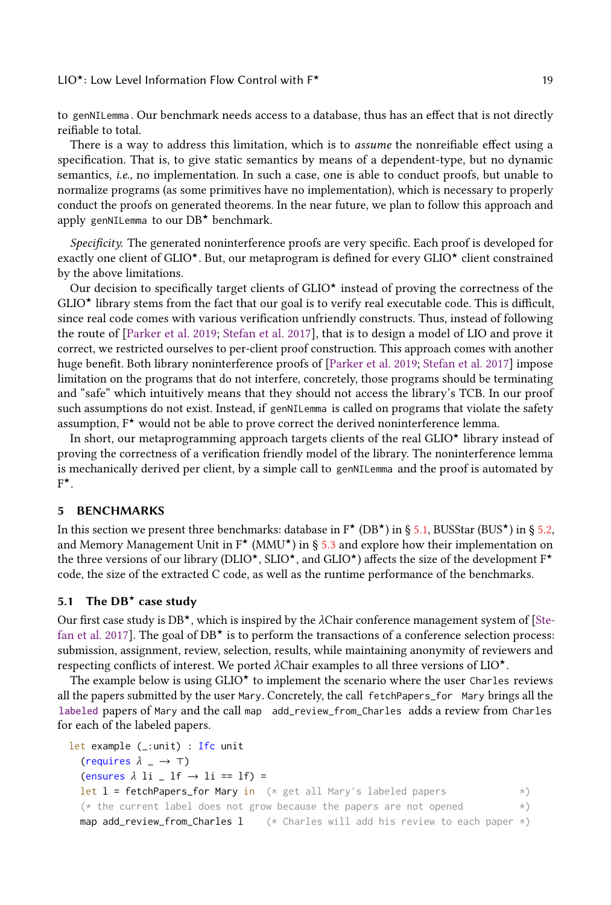to genNILemma . Our benchmark needs access to a database, thus has an effect that is not directly reifiable to total.

There is a way to address this limitation, which is to *assume* the nonreifiable effect using a specification. That is, to give static semantics by means of a dependent-type, but no dynamic semantics, i.e., no implementation. In such a case, one is able to conduct proofs, but unable to normalize programs (as some primitives have no implementation), which is necessary to properly conduct the proofs on generated theorems. In the near future, we plan to follow this approach and apply genNILemma to our  $DB^*$  benchmark.

Specificity. The generated noninterference proofs are very specific. Each proof is developed for exactly one client of GLIO<sup> $\star$ </sup>. But, our metaprogram is defined for every GLIO $\star$  client constrained by the above limitations.

Our decision to specifically target clients of  $GLIO^{\star}$  instead of proving the correctness of the  $GLIO<sup>*</sup>$  library stems from the fact that our goal is to verify real executable code. This is difficult, since real code comes with various verification unfriendly constructs. Thus, instead of following the route of [\[Parker et al.](#page-26-5) [2019;](#page-26-5) [Stefan et al.](#page-26-6) [2017\]](#page-26-6), that is to design a model of LIO and prove it correct, we restricted ourselves to per-client proof construction. This approach comes with another huge benefit. Both library noninterference proofs of [\[Parker et al.](#page-26-5) [2019;](#page-26-5) [Stefan et al.](#page-26-6) [2017\]](#page-26-6) impose limitation on the programs that do not interfere, concretely, those programs should be terminating and "safe" which intuitively means that they should not access the library's TCB. In our proof such assumptions do not exist. Instead, if genNILemma is called on programs that violate the safety assumption,  $F^*$  would not be able to prove correct the derived noninterference lemma.

In short, our metaprogramming approach targets clients of the real  $GLIO^{\star}$  library instead of proving the correctness of a verification friendly model of the library. The noninterference lemma is mechanically derived per client, by a simple call to genNILemma and the proof is automated by  $F^{\star}$ .

#### <span id="page-18-0"></span>5 BENCHMARKS

In this section we present three benchmarks: database in  $F^{\star}$  (DB $^{\star}$ ) in § [5.1,](#page-18-1) BUSStar (BUS $^{\star}$ ) in § [5.2,](#page-19-0) and Memory Management Unit in  $F^{\star}$  (MMU<sup> $\star$ </sup>) in § [5.3](#page-21-0) and explore how their implementation on the three versions of our library (DLIO<sup>\*</sup>, SLIO<sup>\*</sup>, and GLIO<sup>\*</sup>) affects the size of the development  $F^*$ code, the size of the extracted C code, as well as the runtime performance of the benchmarks.

## <span id="page-18-1"></span>5.1 The  $DB^*$  case study

Our first case study is  $DB^*$ , which is inspired by the  $\lambda$ Chair conference management system of [\[Ste](#page-26-6)[fan et al.](#page-26-6) [2017\]](#page-26-6). The goal of  $DB^{\star}$  is to perform the transactions of a conference selection process: submission, assignment, review, selection, results, while maintaining anonymity of reviewers and respecting conflicts of interest. We ported λChair examples to all three versions of LIO<sup>★</sup>.

The example below is using  $GLIO^*$  to implement the scenario where the user Charles reviews all the papers submitted by the user Mary. Concretely, the call fetchPapers\_for Mary brings all the **labeled** papers of Mary and the call map add\_review\_from\_Charles adds a review from Charles for each of the labeled papers.

```
let example (_:unit) : Ifc unit
  (requires \lambda = \rightarrow \top)
  (ensures \lambda li _I lf \rightarrow li == lf) =
  let l = fetchPapers_for Mary in (* get all Mary's labeled papers <math>\rightarrow</math>)(* the current label does not grow because the papers are not opened *)
  map add_review_from_Charles l (*) Charles will add his review to each paper *)
```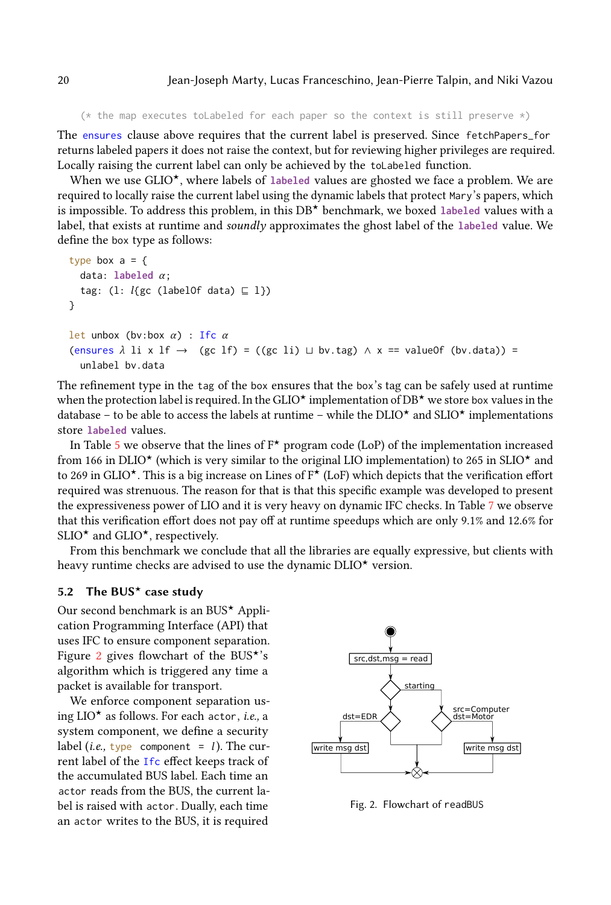```
(* the map executes toLabeled for each paper so the context is still preserve *)
```
The ensures clause above requires that the current label is preserved. Since fetchPapers\_for returns labeled papers it does not raise the context, but for reviewing higher privileges are required. Locally raising the current label can only be achieved by the toLabeled function.

When we use GLIO<sup>\*</sup>, where labels of labeled values are ghosted we face a problem. We are required to locally raise the current label using the dynamic labels that protect Mary's papers, which is impossible. To address this problem, in this DB<sup>\*</sup> benchmark, we boxed labeled values with a label, that exists at runtime and soundly approximates the ghost label of the **labeled** value. We define the box type as follows:

```
type box a = fdata: labeled α;
  tag: (l: l{gc (labelOf data) \sqsubseteq l})
}
let unbox (bv:box \alpha) : Ifc \alpha(ensures \lambda li x lf → (gc lf) = ((gc li) \sqcup bv.tag) \land x == valueOf (bv.data)) =
  unlabel bv.data
```
The refinement type in the tag of the box ensures that the box's tag can be safely used at runtime when the protection label is required. In the GLIO<sup>★</sup> implementation of DB<sup>★</sup> we store box values in the database – to be able to access the labels at runtime – while the DLIO<sup> $\star$ </sup> and SLIO $\star$  implementations store **labeled** values.

In Table [5](#page-21-1) we observe that the lines of  $F^*$  program code (LoP) of the implementation increased from 166 in DLIO<sup>★</sup> (which is very similar to the original LIO implementation) to 265 in SLIO<sup>★</sup> and to 269 in GLIO<sup> $\star$ </sup>. This is a big increase on Lines of  $F^{\star}$  (LoF) which depicts that the verification effort required was strenuous. The reason for that is that this specific example was developed to present the expressiveness power of LIO and it is very heavy on dynamic IFC checks. In Table [7](#page-22-0) we observe that this verification effort does not pay off at runtime speedups which are only 9.1% and 12.6% for SLIO<sup> $\star$ </sup> and GLIO $\star$ , respectively.

From this benchmark we conclude that all the libraries are equally expressive, but clients with heavy runtime checks are advised to use the dynamic  $DLIO^*$  version.

## <span id="page-19-0"></span>5.2 The BUS<sup>\*</sup> case study

Our second benchmark is an BUS<sup> $\star$ </sup> Application Programming Interface (API) that uses IFC to ensure component separation. Figure [2](#page-19-1) gives flowchart of the BUS<sup> $\star$ </sup>'s algorithm which is triggered any time a packet is available for transport.

We enforce component separation using  $LIO^{\star}$  as follows. For each actor, *i.e.*, a system component, we define a security label (*i.e.*, type component = *l*). The current label of the Ifc effect keeps track of the accumulated BUS label. Each time an actor reads from the BUS, the current label is raised with actor. Dually, each time an actor writes to the BUS, it is required

<span id="page-19-1"></span>

Fig. 2. Flowchart of readBUS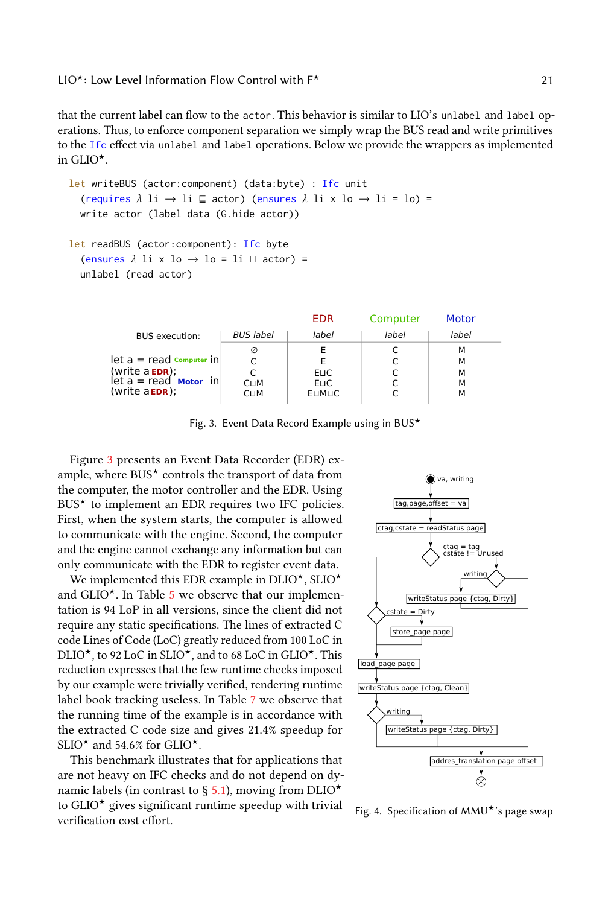that the current label can flow to the actor. This behavior is similar to LIO's unlabel and label operations. Thus, to enforce component separation we simply wrap the BUS read and write primitives to the Ifc effect via unlabel and label operations. Below we provide the wrappers as implemented in GLIO $^{\star}$ .

```
let writeBUS (actor:component) (data:byte) : Ifc unit
  (requires \lambda li \rightarrow li \subseteq actor) (ensures \lambda li x lo \rightarrow li = lo) =
  write actor (label data (G.hide actor))
let readBUS (actor:component): Ifc byte
```

```
(ensures \lambda li x lo \rightarrow lo = li \sqcup actor) =
unlabel (read actor)
```
<span id="page-20-0"></span>

|                                                                                                                                                                  |                                 | EDR                            | Computer | Motor                 |
|------------------------------------------------------------------------------------------------------------------------------------------------------------------|---------------------------------|--------------------------------|----------|-----------------------|
| <b>BUS</b> execution:                                                                                                                                            | <b>BUS</b> label                | label                          | label    | label                 |
| $\mathsf{let} \; \mathsf{a} = \mathsf{read} \; \mathsf{computer} \; \mathsf{in} \mathsf{l}$<br>(write a EDR);<br>let a = read Motor in<br>(write a <b>EDR</b> ); | Ø<br><b>CLIM</b><br><b>CLIM</b> | ELIC.<br>ELIC.<br><b>EUMUC</b> |          | м<br>м<br>м<br>м<br>м |

Fig. 3. Event Data Record Example using in BUS<sup> $\star$ </sup>

Figure [3](#page-20-0) presents an Event Data Recorder (EDR) example, where  $BUS^{\star}$  controls the transport of data from the computer, the motor controller and the EDR. Using  $BUS^*$  to implement an EDR requires two IFC policies. First, when the system starts, the computer is allowed to communicate with the engine. Second, the computer and the engine cannot exchange any information but can only communicate with the EDR to register event data.

We implemented this EDR example in  $DLIO^{\star}$ ,  $SLIO^{\star}$ and  $GLIO^{\star}$ . In Table [5](#page-21-1) we observe that our implementation is 94 LoP in all versions, since the client did not require any static specifications. The lines of extracted C code Lines of Code (LoC) greatly reduced from 100 LoC in DLIO<sup> $\star$ </sup>, to 92 LoC in SLIO $\star$ , and to 68 LoC in GLIO $\star$ . This reduction expresses that the few runtime checks imposed by our example were trivially verified, rendering runtime label book tracking useless. In Table [7](#page-22-0) we observe that the running time of the example is in accordance with the extracted C code size and gives 21.4% speedup for SLIO $\star$  and 54.6% for GLIO $\star$ .

This benchmark illustrates that for applications that are not heavy on IFC checks and do not depend on dy-namic labels (in contrast to § [5.1\)](#page-18-1), moving from DLIO<sup> $\star$ </sup> to  $GLIO^{\star}$  gives significant runtime speedup with trivial verification cost effort.

<span id="page-20-1"></span>

Fig. 4. Specification of  $MMU^{\star}$ 's page swap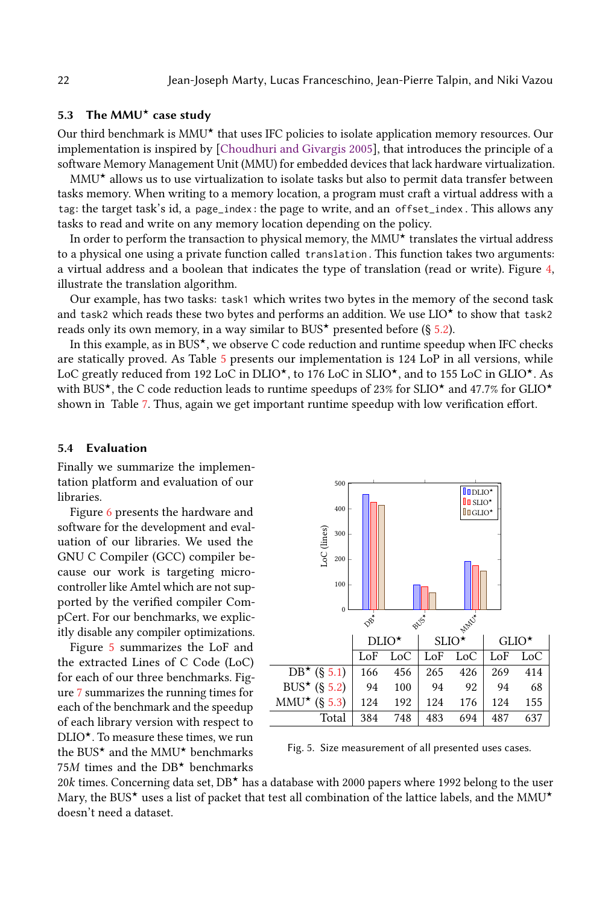## <span id="page-21-0"></span>5.3 The MMU $\star$  case study

Our third benchmark is  $MMU^*$  that uses IFC policies to isolate application memory resources. Our implementation is inspired by [\[Choudhuri and Givargis](#page-25-8) [2005\]](#page-25-8), that introduces the principle of a software Memory Management Unit (MMU) for embedded devices that lack hardware virtualization.

 $MMU<sup>*</sup>$  allows us to use virtualization to isolate tasks but also to permit data transfer between tasks memory. When writing to a memory location, a program must craft a virtual address with a tag: the target task's id, a page\_index : the page to write, and an offset\_index . This allows any tasks to read and write on any memory location depending on the policy.

In order to perform the transaction to physical memory, the  $MMU^{\star}$  translates the virtual address to a physical one using a private function called translation . This function takes two arguments: a virtual address and a boolean that indicates the type of translation (read or write). Figure [4,](#page-20-1) illustrate the translation algorithm.

Our example, has two tasks: task1 which writes two bytes in the memory of the second task and task2 which reads these two bytes and performs an addition. We use  $LIO^{\star}$  to show that task2 reads only its own memory, in a way similar to BUS<sup> $\star$ </sup> presented before (§ [5.2\)](#page-19-0).

In this example, as in BUS<sup>\*</sup>, we observe C code reduction and runtime speedup when IFC checks are statically proved. As Table [5](#page-21-1) presents our implementation is 124 LoP in all versions, while LoC greatly reduced from 192 LoC in DLIO<sup>\*</sup>, to 176 LoC in SLIO<sup>\*</sup>, and to 155 LoC in GLIO<sup>\*</sup>. As with BUS<sup>\*</sup>, the C code reduction leads to runtime speedups of 23% for SLIO<sup>\*</sup> and 47.7% for GLIO<sup>\*</sup> shown in Table [7.](#page-22-0) Thus, again we get important runtime speedup with low verification effort.

#### 5.4 Evaluation

Finally we summarize the implementation platform and evaluation of our libraries.

Figure [6](#page-22-1) presents the hardware and software for the development and evaluation of our libraries. We used the GNU C Compiler (GCC) compiler because our work is targeting microcontroller like Amtel which are not supported by the verified compiler CompCert. For our benchmarks, we explicitly disable any compiler optimizations.

Figure [5](#page-21-1) summarizes the LoF and the extracted Lines of C Code (LoC) for each of our three benchmarks. Figure [7](#page-22-0) summarizes the running times for each of the benchmark and the speedup of each library version with respect to  $DLIO<sup>*</sup>$ . To measure these times, we run the BUS<sup> $\star$ </sup> and the MMU $\star$  benchmarks 75M times and the  $DB^*$  benchmarks

<span id="page-21-1"></span>

Fig. 5. Size measurement of all presented uses cases.

20k times. Concerning data set,  $DB^*$  has a database with 2000 papers where 1992 belong to the user Mary, the BUS<sup>★</sup> uses a list of packet that test all combination of the lattice labels, and the MMU<sup>★</sup> doesn't need a dataset.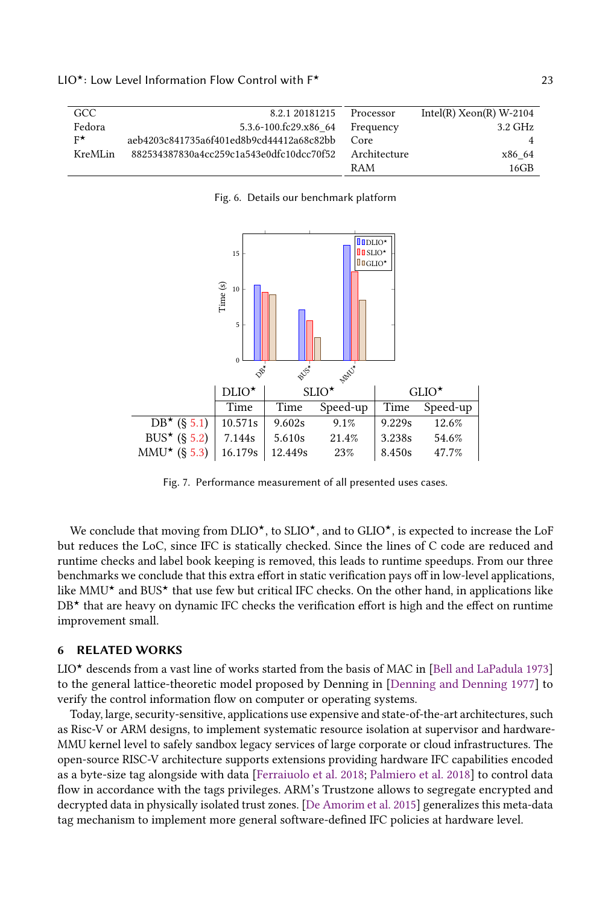<span id="page-22-1"></span>

| GCC.        | 8.2.1 20181215                           | Processor    | Intel(R) $Xeon(R)$ W-2104 |
|-------------|------------------------------------------|--------------|---------------------------|
| Fedora      | 5.3.6-100.fc29.x86 64                    | Frequency    | 3.2 GHz                   |
| $F^{\star}$ | aeb4203c841735a6f401ed8b9cd44412a68c82bb | Core         | $\overline{4}$            |
| KreMLin     | 882534387830a4cc259c1a543e0dfc10dcc70f52 | Architecture | x86 64                    |
|             |                                          | RAM          | 16GB                      |

#### Fig. 6. Details our benchmark platform

<span id="page-22-0"></span>

Fig. 7. Performance measurement of all presented uses cases.

We conclude that moving from DLIO<sup>\*</sup>, to SLIO<sup>\*</sup>, and to GLIO<sup>\*</sup>, is expected to increase the LoF but reduces the LoC, since IFC is statically checked. Since the lines of C code are reduced and runtime checks and label book keeping is removed, this leads to runtime speedups. From our three benchmarks we conclude that this extra effort in static verification pays off in low-level applications, like  $MMU^{\star}$  and BUS<sup> $\star$ </sup> that use few but critical IFC checks. On the other hand, in applications like  $DB^*$  that are heavy on dynamic IFC checks the verification effort is high and the effect on runtime improvement small.

#### 6 RELATED WORKS

 $LIO<sup>*</sup>$  descends from a vast line of works started from the basis of MAC in [\[Bell and LaPadula](#page-25-9) [1973\]](#page-25-9) to the general lattice-theoretic model proposed by Denning in [\[Denning and Denning](#page-25-10) [1977\]](#page-25-10) to verify the control information flow on computer or operating systems.

Today, large, security-sensitive, applications use expensive and state-of-the-art architectures, such as Risc-V or ARM designs, to implement systematic resource isolation at supervisor and hardware-MMU kernel level to safely sandbox legacy services of large corporate or cloud infrastructures. The open-source RISC-V architecture supports extensions providing hardware IFC capabilities encoded as a byte-size tag alongside with data [\[Ferraiuolo et al.](#page-25-11) [2018;](#page-25-11) [Palmiero et al.](#page-26-14) [2018\]](#page-26-14) to control data flow in accordance with the tags privileges. ARM's Trustzone allows to segregate encrypted and decrypted data in physically isolated trust zones. [\[De Amorim et al.](#page-25-12) [2015\]](#page-25-12) generalizes this meta-data tag mechanism to implement more general software-defined IFC policies at hardware level.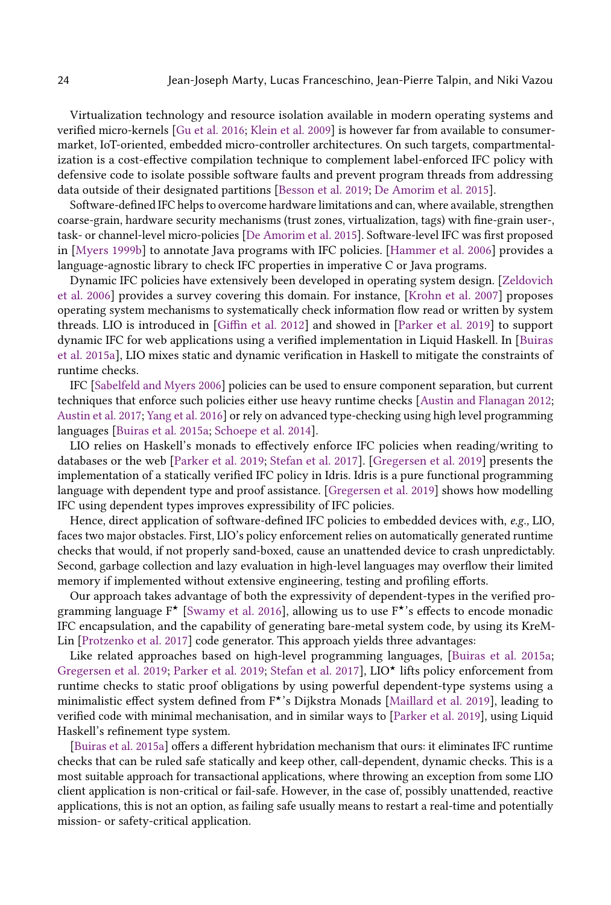Virtualization technology and resource isolation available in modern operating systems and verified micro-kernels [\[Gu et al.](#page-25-13) [2016;](#page-25-13) [Klein et al.](#page-26-15) [2009\]](#page-26-15) is however far from available to consumermarket, IoT-oriented, embedded micro-controller architectures. On such targets, compartmentalization is a cost-effective compilation technique to complement label-enforced IFC policy with defensive code to isolate possible software faults and prevent program threads from addressing data outside of their designated partitions [\[Besson et al.](#page-25-14) [2019;](#page-25-14) [De Amorim et al.](#page-25-12) [2015\]](#page-25-12).

Software-defined IFC helps to overcome hardware limitations and can, where available, strengthen coarse-grain, hardware security mechanisms (trust zones, virtualization, tags) with fine-grain user-, task- or channel-level micro-policies [\[De Amorim et al.](#page-25-12) [2015\]](#page-25-12). Software-level IFC was first proposed in [\[Myers](#page-26-16) [1999b\]](#page-26-16) to annotate Java programs with IFC policies. [\[Hammer et al.](#page-26-17) [2006\]](#page-26-17) provides a language-agnostic library to check IFC properties in imperative C or Java programs.

Dynamic IFC policies have extensively been developed in operating system design. [\[Zeldovich](#page-27-0) [et al.](#page-27-0) [2006\]](#page-27-0) provides a survey covering this domain. For instance, [\[Krohn et al.](#page-26-18) [2007\]](#page-26-18) proposes operating system mechanisms to systematically check information flow read or written by system threads. LIO is introduced in [\[Giffin et al.](#page-25-4) [2012\]](#page-25-4) and showed in [\[Parker et al.](#page-26-5) [2019\]](#page-26-5) to support dynamic IFC for web applications using a verified implementation in Liquid Haskell. In [\[Buiras](#page-25-2) [et al.](#page-25-2) [2015a\]](#page-25-2), LIO mixes static and dynamic verification in Haskell to mitigate the constraints of runtime checks.

IFC [\[Sabelfeld and Myers](#page-26-0) [2006\]](#page-26-0) policies can be used to ensure component separation, but current techniques that enforce such policies either use heavy runtime checks [\[Austin and Flanagan](#page-25-0) [2012;](#page-25-0) [Austin et al.](#page-25-1) [2017;](#page-25-1) [Yang et al.](#page-26-2) [2016\]](#page-26-2) or rely on advanced type-checking using high level programming languages [\[Buiras et al.](#page-25-2) [2015a;](#page-25-2) [Schoepe et al.](#page-26-4) [2014\]](#page-26-4).

LIO relies on Haskell's monads to effectively enforce IFC policies when reading/writing to databases or the web [\[Parker et al.](#page-26-5) [2019;](#page-26-5) [Stefan et al.](#page-26-6) [2017\]](#page-26-6). [\[Gregersen et al.](#page-25-15) [2019\]](#page-25-15) presents the implementation of a statically verified IFC policy in Idris. Idris is a pure functional programming language with dependent type and proof assistance. [\[Gregersen et al.](#page-25-15) [2019\]](#page-25-15) shows how modelling IFC using dependent types improves expressibility of IFC policies.

Hence, direct application of software-defined IFC policies to embedded devices with, e.g., LIO, faces two major obstacles. First, LIO's policy enforcement relies on automatically generated runtime checks that would, if not properly sand-boxed, cause an unattended device to crash unpredictably. Second, garbage collection and lazy evaluation in high-level languages may overflow their limited memory if implemented without extensive engineering, testing and profiling efforts.

Our approach takes advantage of both the expressivity of dependent-types in the verified programming language  $F^{\star}$  [\[Swamy et al.](#page-26-7) [2016\]](#page-26-7), allowing us to use  $F^{\star}$ 's effects to encode monadic IFC encapsulation, and the capability of generating bare-metal system code, by using its KreM-Lin [\[Protzenko et al.](#page-26-8) [2017\]](#page-26-8) code generator. This approach yields three advantages:

Like related approaches based on high-level programming languages, [\[Buiras et al.](#page-25-2) [2015a;](#page-25-2) [Gregersen et al.](#page-25-15) [2019;](#page-26-5) [Parker et al.](#page-26-5) 2019; [Stefan et al.](#page-26-6) [2017\]](#page-26-6), LIO<sup>\*</sup> lifts policy enforcement from runtime checks to static proof obligations by using powerful dependent-type systems using a minimalistic effect system defined from F<sup>\*</sup>'s Dijkstra Monads [\[Maillard et al.](#page-26-9) [2019\]](#page-26-9), leading to verified code with minimal mechanisation, and in similar ways to [\[Parker et al.](#page-26-5) [2019\]](#page-26-5), using Liquid Haskell's refinement type system.

[\[Buiras et al.](#page-25-2) [2015a\]](#page-25-2) offers a different hybridation mechanism that ours: it eliminates IFC runtime checks that can be ruled safe statically and keep other, call-dependent, dynamic checks. This is a most suitable approach for transactional applications, where throwing an exception from some LIO client application is non-critical or fail-safe. However, in the case of, possibly unattended, reactive applications, this is not an option, as failing safe usually means to restart a real-time and potentially mission- or safety-critical application.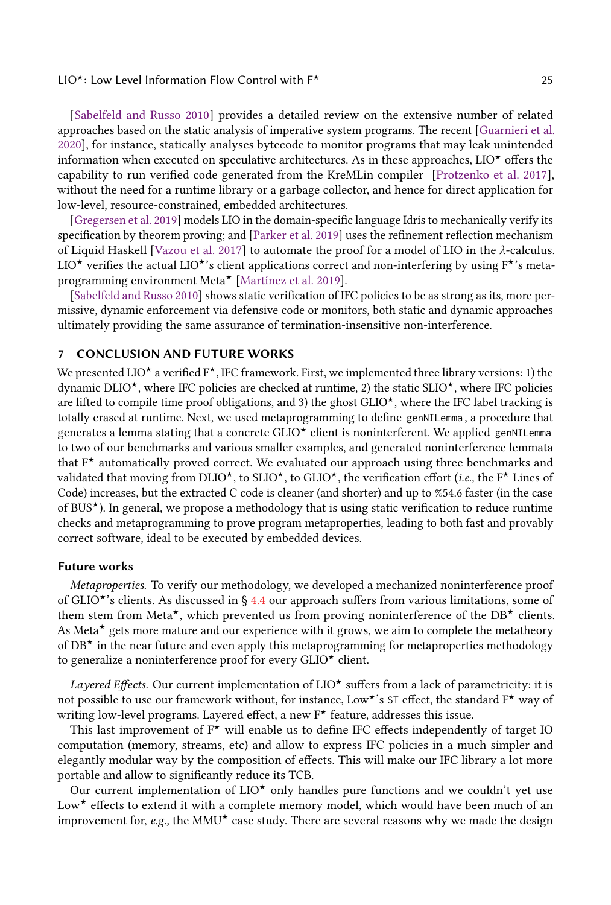[\[Sabelfeld and Russo](#page-26-19) [2010\]](#page-26-19) provides a detailed review on the extensive number of related approaches based on the static analysis of imperative system programs. The recent [\[Guarnieri et al.](#page-25-16) [2020\]](#page-25-16), for instance, statically analyses bytecode to monitor programs that may leak unintended information when executed on speculative architectures. As in these approaches,  $LIO^{\star}$  offers the capability to run verified code generated from the KreMLin compiler [\[Protzenko et al.](#page-26-8) [2017\]](#page-26-8), without the need for a runtime library or a garbage collector, and hence for direct application for low-level, resource-constrained, embedded architectures.

[\[Gregersen et al.](#page-25-15) [2019\]](#page-25-15) models LIO in the domain-specific language Idris to mechanically verify its specification by theorem proving; and [\[Parker et al.](#page-26-5) [2019\]](#page-26-5) uses the refinement reflection mechanism of Liquid Haskell [\[Vazou et al.](#page-26-20) [2017\]](#page-26-20) to automate the proof for a model of LIO in the λ-calculus. LIO<sup>★</sup> verifies the actual LIO<sup>★</sup>'s client applications correct and non-interfering by using F<sup>★</sup>'s meta-programming environment Meta<sup>\*</sup> [\[Martínez et al.](#page-26-10) [2019\]](#page-26-10).

[\[Sabelfeld and Russo](#page-26-19) [2010\]](#page-26-19) shows static verification of IFC policies to be as strong as its, more permissive, dynamic enforcement via defensive code or monitors, both static and dynamic approaches ultimately providing the same assurance of termination-insensitive non-interference.

### 7 CONCLUSION AND FUTURE WORKS

We presented LIO<sup> $\star$ </sup> a verified  $F^{\star}$ , IFC framework. First, we implemented three library versions: 1) the dynamic DLIO<sup> $\star$ </sup>, where IFC policies are checked at runtime, 2) the static SLIO $\star$ , where IFC policies are lifted to compile time proof obligations, and 3) the ghost  $GLIO^{\star}$ , where the IFC label tracking is totally erased at runtime. Next, we used metaprogramming to define genNILemma , a procedure that generates a lemma stating that a concrete  $GLO^{\star}$  client is noninterferent. We applied genNILemma to two of our benchmarks and various smaller examples, and generated noninterference lemmata that  $F^{\star}$  automatically proved correct. We evaluated our approach using three benchmarks and validated that moving from DLIO<sup> $\star$ </sup>, to SLIO $\star$ , to GLIO $\star$ , the verification effort (*i.e.*, the F $\star$  Lines of Code) increases, but the extracted C code is cleaner (and shorter) and up to %54.6 faster (in the case of BUS<sup>\*</sup>). In general, we propose a methodology that is using static verification to reduce runtime checks and metaprogramming to prove program metaproperties, leading to both fast and provably correct software, ideal to be executed by embedded devices.

#### Future works

Metaproperties. To verify our methodology, we developed a mechanized noninterference proof of GLIO<sup> $\star$ </sup>'s clients. As discussed in § [4.4](#page-17-0) our approach suffers from various limitations, some of them stem from Meta<sup>\*</sup>, which prevented us from proving noninterference of the DB<sup>\*</sup> clients. As Meta $\star$  gets more mature and our experience with it grows, we aim to complete the metatheory of  $DB<sup>*</sup>$  in the near future and even apply this metaprogramming for metaproperties methodology to generalize a noninterference proof for every  $GLIO^{\star}$  client.

Layered Effects. Our current implementation of  $LIO<sup>*</sup>$  suffers from a lack of parametricity: it is not possible to use our framework without, for instance, Low\*'s ST effect, the standard  $\mathsf{F}^{\star}$  way of writing low-level programs. Layered effect, a new  $F^{\star}$  feature, addresses this issue.

This last improvement of  $F^*$  will enable us to define IFC effects independently of target IO computation (memory, streams, etc) and allow to express IFC policies in a much simpler and elegantly modular way by the composition of effects. This will make our IFC library a lot more portable and allow to significantly reduce its TCB.

Our current implementation of  $LIO^*$  only handles pure functions and we couldn't yet use Low $\star$  effects to extend it with a complete memory model, which would have been much of an improvement for, e.g., the MMU $\star$  case study. There are several reasons why we made the design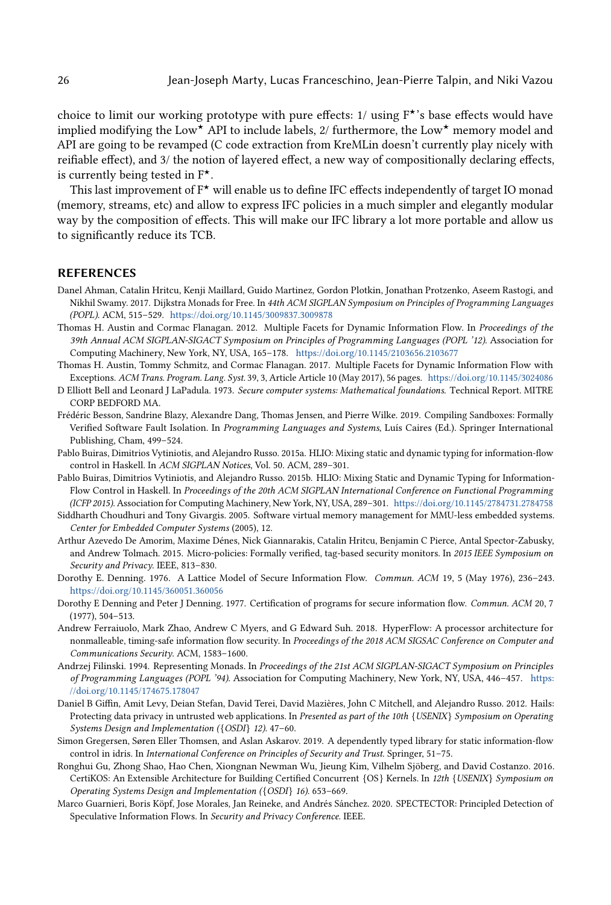choice to limit our working prototype with pure effects:  $1/$  using  $F^{\star}$ 's base effects would have implied modifying the Low<sup>★</sup> API to include labels,  $2/$  furthermore, the Low<sup>★</sup> memory model and API are going to be revamped (C code extraction from KreMLin doesn't currently play nicely with reifiable effect), and 3/ the notion of layered effect, a new way of compositionally declaring effects, is currently being tested in  $F^{\star}$ .

This last improvement of  $F^*$  will enable us to define IFC effects independently of target IO monad (memory, streams, etc) and allow to express IFC policies in a much simpler and elegantly modular way by the composition of effects. This will make our IFC library a lot more portable and allow us to significantly reduce its TCB.

#### REFERENCES

- <span id="page-25-6"></span>Danel Ahman, Catalin Hritcu, Kenji Maillard, Guido Martinez, Gordon Plotkin, Jonathan Protzenko, Aseem Rastogi, and Nikhil Swamy. 2017. Dijkstra Monads for Free. In 44th ACM SIGPLAN Symposium on Principles of Programming Languages (POPL). ACM, 515–529. <https://doi.org/10.1145/3009837.3009878>
- <span id="page-25-0"></span>Thomas H. Austin and Cormac Flanagan. 2012. Multiple Facets for Dynamic Information Flow. In Proceedings of the 39th Annual ACM SIGPLAN-SIGACT Symposium on Principles of Programming Languages (POPL '12). Association for Computing Machinery, New York, NY, USA, 165–178. <https://doi.org/10.1145/2103656.2103677>
- <span id="page-25-1"></span>Thomas H. Austin, Tommy Schmitz, and Cormac Flanagan. 2017. Multiple Facets for Dynamic Information Flow with Exceptions. ACM Trans. Program. Lang. Syst. 39, 3, Article Article 10 (May 2017), 56 pages. <https://doi.org/10.1145/3024086>
- <span id="page-25-9"></span>D Elliott Bell and Leonard J LaPadula. 1973. Secure computer systems: Mathematical foundations. Technical Report. MITRE CORP BEDFORD MA.
- <span id="page-25-14"></span>Frédéric Besson, Sandrine Blazy, Alexandre Dang, Thomas Jensen, and Pierre Wilke. 2019. Compiling Sandboxes: Formally Verified Software Fault Isolation. In Programming Languages and Systems, Luís Caires (Ed.). Springer International Publishing, Cham, 499–524.
- <span id="page-25-2"></span>Pablo Buiras, Dimitrios Vytiniotis, and Alejandro Russo. 2015a. HLIO: Mixing static and dynamic typing for information-flow control in Haskell. In ACM SIGPLAN Notices, Vol. 50. ACM, 289–301.
- <span id="page-25-5"></span>Pablo Buiras, Dimitrios Vytiniotis, and Alejandro Russo. 2015b. HLIO: Mixing Static and Dynamic Typing for Information-Flow Control in Haskell. In Proceedings of the 20th ACM SIGPLAN International Conference on Functional Programming (ICFP 2015). Association for Computing Machinery, New York, NY, USA, 289–301. <https://doi.org/10.1145/2784731.2784758>
- <span id="page-25-8"></span>Siddharth Choudhuri and Tony Givargis. 2005. Software virtual memory management for MMU-less embedded systems. Center for Embedded Computer Systems (2005), 12.
- <span id="page-25-12"></span>Arthur Azevedo De Amorim, Maxime Dénes, Nick Giannarakis, Catalin Hritcu, Benjamin C Pierce, Antal Spector-Zabusky, and Andrew Tolmach. 2015. Micro-policies: Formally verified, tag-based security monitors. In 2015 IEEE Symposium on Security and Privacy. IEEE, 813–830.
- <span id="page-25-3"></span>Dorothy E. Denning. 1976. A Lattice Model of Secure Information Flow. Commun. ACM 19, 5 (May 1976), 236–243. <https://doi.org/10.1145/360051.360056>
- <span id="page-25-10"></span>Dorothy E Denning and Peter J Denning. 1977. Certification of programs for secure information flow. Commun. ACM 20, 7 (1977), 504–513.
- <span id="page-25-11"></span>Andrew Ferraiuolo, Mark Zhao, Andrew C Myers, and G Edward Suh. 2018. HyperFlow: A processor architecture for nonmalleable, timing-safe information flow security. In Proceedings of the 2018 ACM SIGSAC Conference on Computer and Communications Security. ACM, 1583–1600.
- <span id="page-25-7"></span>Andrzej Filinski. 1994. Representing Monads. In Proceedings of the 21st ACM SIGPLAN-SIGACT Symposium on Principles of Programming Languages (POPL '94). Association for Computing Machinery, New York, NY, USA, 446–457. [https:](https://doi.org/10.1145/174675.178047) [//doi.org/10.1145/174675.178047](https://doi.org/10.1145/174675.178047)
- <span id="page-25-4"></span>Daniel B Giffin, Amit Levy, Deian Stefan, David Terei, David Mazières, John C Mitchell, and Alejandro Russo. 2012. Hails: Protecting data privacy in untrusted web applications. In Presented as part of the 10th {USENIX} Symposium on Operating Systems Design and Implementation ({OSDI} 12). 47–60.
- <span id="page-25-15"></span>Simon Gregersen, Søren Eller Thomsen, and Aslan Askarov. 2019. A dependently typed library for static information-flow control in idris. In International Conference on Principles of Security and Trust. Springer, 51–75.
- <span id="page-25-13"></span>Ronghui Gu, Zhong Shao, Hao Chen, Xiongnan Newman Wu, Jieung Kim, Vilhelm Sjöberg, and David Costanzo. 2016. CertiKOS: An Extensible Architecture for Building Certified Concurrent {OS} Kernels. In 12th {USENIX} Symposium on Operating Systems Design and Implementation ({OSDI} 16). 653–669.
- <span id="page-25-16"></span>Marco Guarnieri, Boris Köpf, Jose Morales, Jan Reineke, and Andrés Sánchez. 2020. SPECTECTOR: Principled Detection of Speculative Information Flows. In Security and Privacy Conference. IEEE.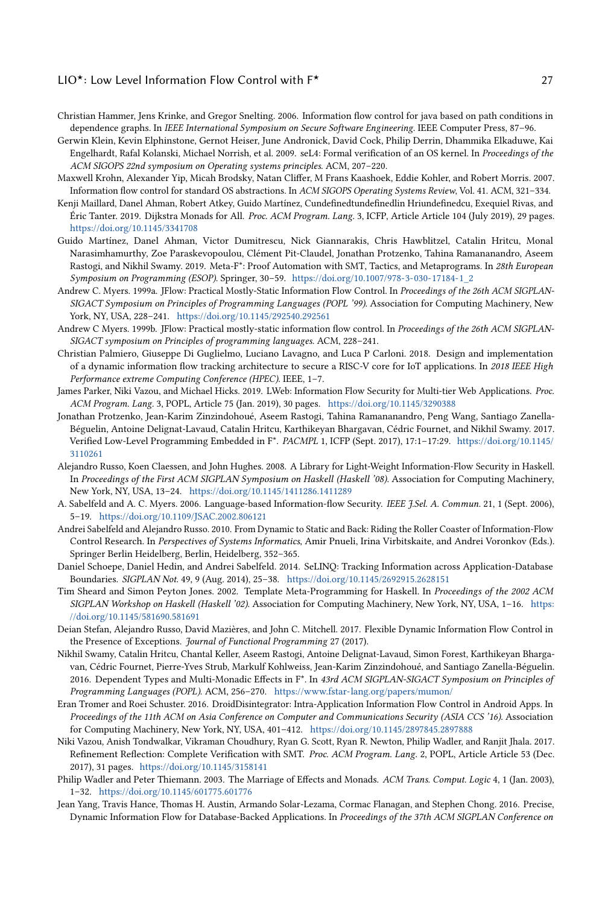- <span id="page-26-17"></span>Christian Hammer, Jens Krinke, and Gregor Snelting. 2006. Information flow control for java based on path conditions in dependence graphs. In IEEE International Symposium on Secure Software Engineering. IEEE Computer Press, 87–96.
- <span id="page-26-15"></span>Gerwin Klein, Kevin Elphinstone, Gernot Heiser, June Andronick, David Cock, Philip Derrin, Dhammika Elkaduwe, Kai Engelhardt, Rafal Kolanski, Michael Norrish, et al. 2009. seL4: Formal verification of an OS kernel. In Proceedings of the ACM SIGOPS 22nd symposium on Operating systems principles. ACM, 207–220.
- <span id="page-26-18"></span>Maxwell Krohn, Alexander Yip, Micah Brodsky, Natan Cliffer, M Frans Kaashoek, Eddie Kohler, and Robert Morris. 2007. Information flow control for standard OS abstractions. In ACM SIGOPS Operating Systems Review, Vol. 41. ACM, 321–334.
- <span id="page-26-9"></span>Kenji Maillard, Danel Ahman, Robert Atkey, Guido Martínez, Cundefinedtundefinedlin Hriundefinedcu, Exequiel Rivas, and Éric Tanter. 2019. Dijkstra Monads for All. Proc. ACM Program. Lang. 3, ICFP, Article Article 104 (July 2019), 29 pages. <https://doi.org/10.1145/3341708>
- <span id="page-26-10"></span>Guido Martínez, Danel Ahman, Victor Dumitrescu, Nick Giannarakis, Chris Hawblitzel, Catalin Hritcu, Monal Narasimhamurthy, Zoe Paraskevopoulou, Clément Pit-Claudel, Jonathan Protzenko, Tahina Ramananandro, Aseem Rastogi, and Nikhil Swamy. 2019. Meta-F\*: Proof Automation with SMT, Tactics, and Metaprograms. In 28th European Symposium on Programming (ESOP). Springer, 30–59. [https://doi.org/10.1007/978-3-030-17184-1\\_2](https://doi.org/10.1007/978-3-030-17184-1_2)
- <span id="page-26-3"></span>Andrew C. Myers. 1999a. JFlow: Practical Mostly-Static Information Flow Control. In Proceedings of the 26th ACM SIGPLAN-SIGACT Symposium on Principles of Programming Languages (POPL '99). Association for Computing Machinery, New York, NY, USA, 228–241. <https://doi.org/10.1145/292540.292561>
- <span id="page-26-16"></span>Andrew C Myers. 1999b. JFlow: Practical mostly-static information flow control. In Proceedings of the 26th ACM SIGPLAN-SIGACT symposium on Principles of programming languages. ACM, 228–241.
- <span id="page-26-14"></span>Christian Palmiero, Giuseppe Di Guglielmo, Luciano Lavagno, and Luca P Carloni. 2018. Design and implementation of a dynamic information flow tracking architecture to secure a RISC-V core for IoT applications. In 2018 IEEE High Performance extreme Computing Conference (HPEC). IEEE, 1–7.
- <span id="page-26-5"></span>James Parker, Niki Vazou, and Michael Hicks. 2019. LWeb: Information Flow Security for Multi-tier Web Applications. Proc. ACM Program. Lang. 3, POPL, Article 75 (Jan. 2019), 30 pages. <https://doi.org/10.1145/3290388>
- <span id="page-26-8"></span>Jonathan Protzenko, Jean-Karim Zinzindohoué, Aseem Rastogi, Tahina Ramananandro, Peng Wang, Santiago Zanella-Béguelin, Antoine Delignat-Lavaud, Catalin Hritcu, Karthikeyan Bhargavan, Cédric Fournet, and Nikhil Swamy. 2017. Verified Low-Level Programming Embedded in F\*. PACMPL 1, ICFP (Sept. 2017), 17:1–17:29. [https://doi.org/10.1145/](https://doi.org/10.1145/3110261) [3110261](https://doi.org/10.1145/3110261)
- <span id="page-26-12"></span>Alejandro Russo, Koen Claessen, and John Hughes. 2008. A Library for Light-Weight Information-Flow Security in Haskell. In Proceedings of the First ACM SIGPLAN Symposium on Haskell (Haskell '08). Association for Computing Machinery, New York, NY, USA, 13–24. <https://doi.org/10.1145/1411286.1411289>
- <span id="page-26-0"></span>A. Sabelfeld and A. C. Myers. 2006. Language-based Information-flow Security. IEEE J.Sel. A. Commun. 21, 1 (Sept. 2006), 5–19. <https://doi.org/10.1109/JSAC.2002.806121>
- <span id="page-26-19"></span>Andrei Sabelfeld and Alejandro Russo. 2010. From Dynamic to Static and Back: Riding the Roller Coaster of Information-Flow Control Research. In Perspectives of Systems Informatics, Amir Pnueli, Irina Virbitskaite, and Andrei Voronkov (Eds.). Springer Berlin Heidelberg, Berlin, Heidelberg, 352–365.
- <span id="page-26-4"></span>Daniel Schoepe, Daniel Hedin, and Andrei Sabelfeld. 2014. SeLINQ: Tracking Information across Application-Database Boundaries. SIGPLAN Not. 49, 9 (Aug. 2014), 25–38. <https://doi.org/10.1145/2692915.2628151>
- <span id="page-26-13"></span>Tim Sheard and Simon Peyton Jones. 2002. Template Meta-Programming for Haskell. In Proceedings of the 2002 ACM SIGPLAN Workshop on Haskell (Haskell '02). Association for Computing Machinery, New York, NY, USA, 1–16. [https:](https://doi.org/10.1145/581690.581691) [//doi.org/10.1145/581690.581691](https://doi.org/10.1145/581690.581691)
- <span id="page-26-6"></span>Deian Stefan, Alejandro Russo, David Mazières, and John C. Mitchell. 2017. Flexible Dynamic Information Flow Control in the Presence of Exceptions. Journal of Functional Programming 27 (2017).
- <span id="page-26-7"></span>Nikhil Swamy, Catalin Hritcu, Chantal Keller, Aseem Rastogi, Antoine Delignat-Lavaud, Simon Forest, Karthikeyan Bhargavan, Cédric Fournet, Pierre-Yves Strub, Markulf Kohlweiss, Jean-Karim Zinzindohoué, and Santiago Zanella-Béguelin. 2016. Dependent Types and Multi-Monadic Effects in F\*. In 43rd ACM SIGPLAN-SIGACT Symposium on Principles of Programming Languages (POPL). ACM, 256–270. <https://www.fstar-lang.org/papers/mumon/>
- <span id="page-26-1"></span>Eran Tromer and Roei Schuster. 2016. DroidDisintegrator: Intra-Application Information Flow Control in Android Apps. In Proceedings of the 11th ACM on Asia Conference on Computer and Communications Security (ASIA CCS '16). Association for Computing Machinery, New York, NY, USA, 401–412. <https://doi.org/10.1145/2897845.2897888>
- <span id="page-26-20"></span>Niki Vazou, Anish Tondwalkar, Vikraman Choudhury, Ryan G. Scott, Ryan R. Newton, Philip Wadler, and Ranjit Jhala. 2017. Refinement Reflection: Complete Verification with SMT. Proc. ACM Program. Lang. 2, POPL, Article Article 53 (Dec. 2017), 31 pages. <https://doi.org/10.1145/3158141>
- <span id="page-26-11"></span>Philip Wadler and Peter Thiemann. 2003. The Marriage of Effects and Monads. ACM Trans. Comput. Logic 4, 1 (Jan. 2003), 1–32. <https://doi.org/10.1145/601775.601776>
- <span id="page-26-2"></span>Jean Yang, Travis Hance, Thomas H. Austin, Armando Solar-Lezama, Cormac Flanagan, and Stephen Chong. 2016. Precise, Dynamic Information Flow for Database-Backed Applications. In Proceedings of the 37th ACM SIGPLAN Conference on